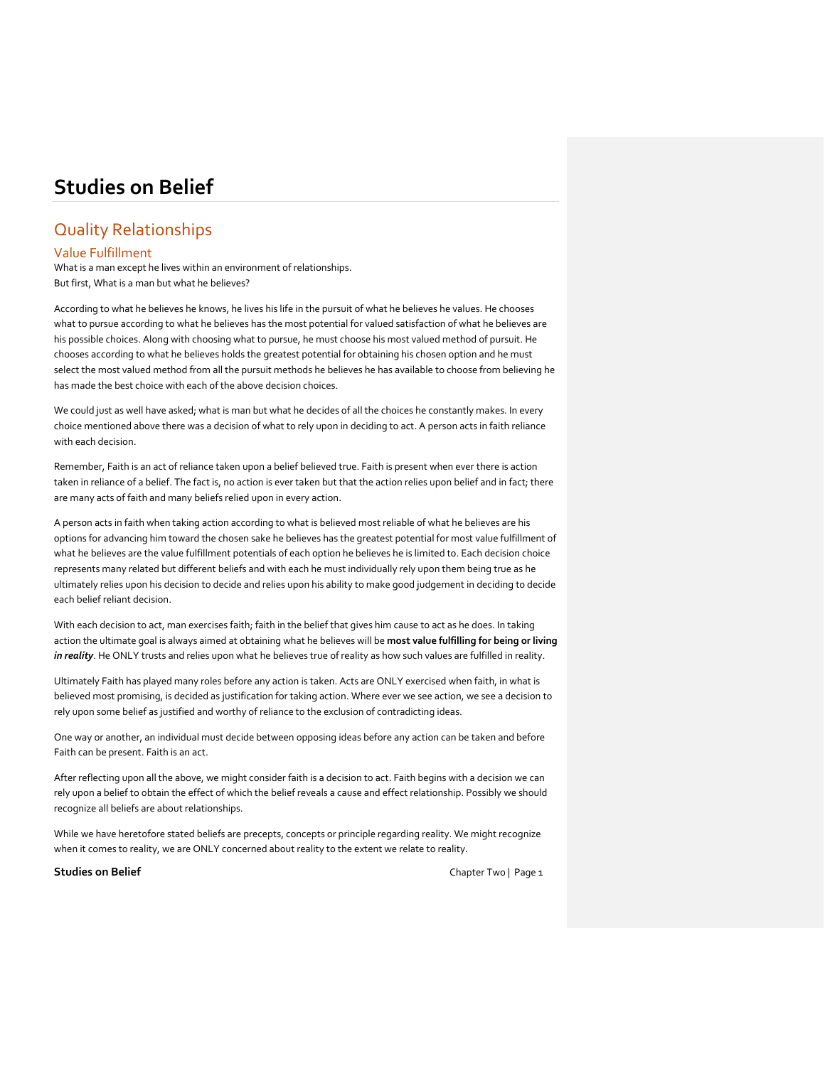# Quality Relationships

# Value Fulfillment

What is a man except he lives within an environment of relationships. But first, What is a man but what he believes?

According to what he believes he knows, he lives his life in the pursuit of what he believes he values. He chooses what to pursue according to what he believes has the most potential for valued satisfaction of what he believes are his possible choices. Along with choosing what to pursue, he must choose his most valued method of pursuit. He chooses according to what he believes holds the greatest potential for obtaining his chosen option and he must select the most valued method from all the pursuit methods he believes he has available to choose from believing he has made the best choice with each of the above decision choices.

We could just as well have asked; what is man but what he decides of all the choices he constantly makes. In every choice mentioned above there was a decision of what to rely upon in deciding to act. A person acts in faith reliance with each decision.

Remember, Faith is an act of reliance taken upon a belief believed true. Faith is present when ever there is action taken in reliance of a belief. The fact is, no action is ever taken but that the action relies upon belief and in fact; there are many acts of faith and many beliefs relied upon in every action.

A person acts in faith when taking action according to what is believed most reliable of what he believes are his options for advancing him toward the chosen sake he believes has the greatest potential for most value fulfillment of what he believes are the value fulfillment potentials of each option he believes he is limited to. Each decision choice represents many related but different beliefs and with each he must individually rely upon them being true as he ultimately relies upon his decision to decide and relies upon his ability to make good judgement in deciding to decide each belief reliant decision.

With each decision to act, man exercises faith; faith in the belief that gives him cause to act as he does. In taking action the ultimate goal is always aimed at obtaining what he believes will be **most value fulfilling for being or living** *in reality*. He ONLY trusts and relies upon what he believes true of reality as how such values are fulfilled in reality.

Ultimately Faith has played many roles before any action is taken. Acts are ONLY exercised when faith, in what is believed most promising, is decided as justification for taking action. Where ever we see action, we see a decision to rely upon some belief as justified and worthy of reliance to the exclusion of contradicting ideas.

One way or another, an individual must decide between opposing ideas before any action can be taken and before Faith can be present. Faith is an act.

After reflecting upon all the above, we might consider faith is a decision to act. Faith begins with a decision we can rely upon a belief to obtain the effect of which the belief reveals a cause and effect relationship. Possibly we should recognize all beliefs are about relationships.

While we have heretofore stated beliefs are precepts, concepts or principle regarding reality. We might recognize when it comes to reality, we are ONLY concerned about reality to the extent we relate to reality.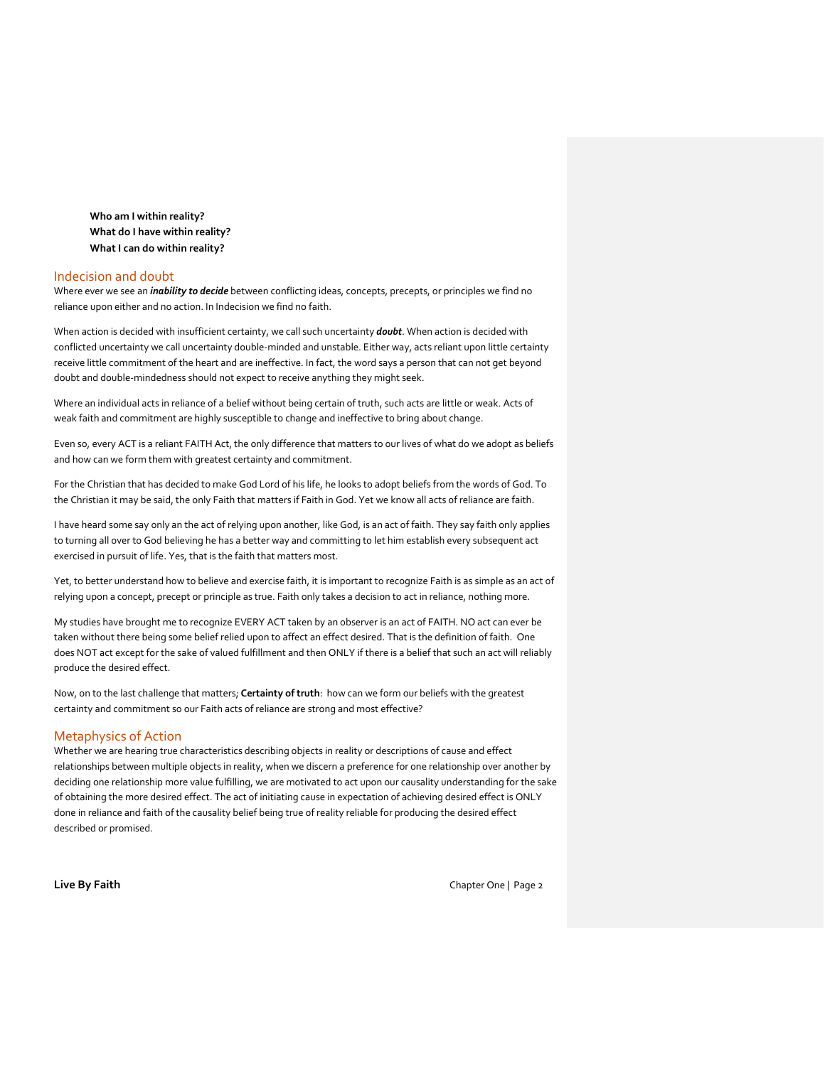**Who am I within reality? What do I have within reality? What I can do within reality?**

# Indecision and doubt

Where ever we see an *inability to decide* between conflicting ideas, concepts, precepts, or principles we find no reliance upon either and no action. In Indecision we find no faith.

When action is decided with insufficient certainty, we call such uncertainty *doubt*. When action is decided with conflicted uncertainty we call uncertainty double-minded and unstable. Either way, acts reliant upon little certainty receive little commitment of the heart and are ineffective. In fact, the word says a person that can not get beyond doubt and double-mindedness should not expect to receive anything they might seek.

Where an individual acts in reliance of a belief without being certain of truth, such acts are little or weak. Acts of weak faith and commitment are highly susceptible to change and ineffective to bring about change.

Even so, every ACT is a reliant FAITH Act, the only difference that matters to our lives of what do we adopt as beliefs and how can we form them with greatest certainty and commitment.

For the Christian that has decided to make God Lord of his life, he looks to adopt beliefs from the words of God. To the Christian it may be said, the only Faith that matters if Faith in God. Yet we know all acts of reliance are faith.

I have heard some say only an the act of relying upon another, like God, is an act of faith. They say faith only applies to turning all over to God believing he has a better way and committing to let him establish every subsequent act exercised in pursuit of life. Yes, that is the faith that matters most.

Yet, to better understand how to believe and exercise faith, it is important to recognize Faith is as simple as an act of relying upon a concept, precept or principle as true. Faith only takes a decision to act in reliance, nothing more.

My studies have brought me to recognize EVERY ACT taken by an observer is an act of FAITH. NO act can ever be taken without there being some belief relied upon to affect an effect desired. That is the definition of faith. One does NOT act except for the sake of valued fulfillment and then ONLY if there is a belief that such an act will reliably produce the desired effect.

Now, on to the last challenge that matters; **Certainty of truth**: how can we form our beliefs with the greatest certainty and commitment so our Faith acts of reliance are strong and most effective?

# Metaphysics of Action

Whether we are hearing true characteristics describing objects in reality or descriptions of cause and effect relationships between multiple objects in reality, when we discern a preference for one relationship over another by deciding one relationship more value fulfilling, we are motivated to act upon our causality understanding for the sake of obtaining the more desired effect. The act of initiating cause in expectation of achieving desired effect is ONLY done in reliance and faith of the causality belief being true of reality reliable for producing the desired effect described or promised.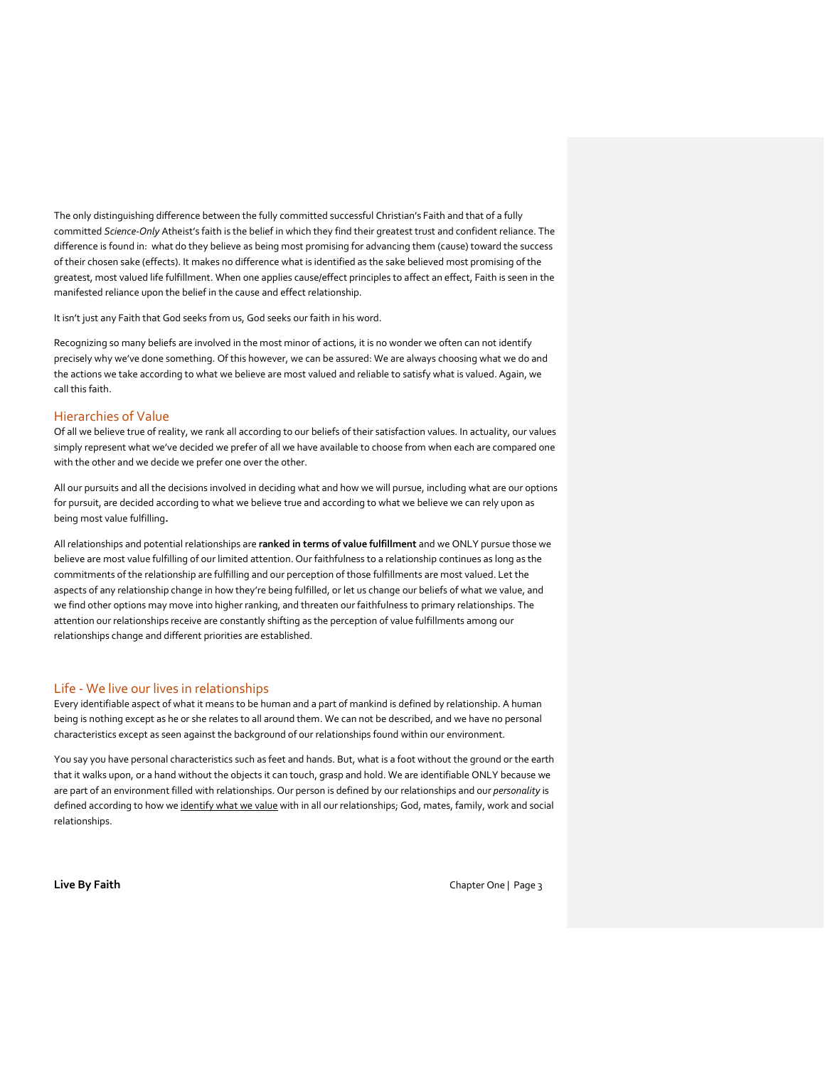The only distinguishing difference between the fully committed successful Christian's Faith and that of a fully committed *Science-Only* Atheist's faith is the belief in which they find their greatest trust and confident reliance. The difference is found in: what do they believe as being most promising for advancing them (cause) toward the success of their chosen sake (effects). It makes no difference what is identified as the sake believed most promising of the greatest, most valued life fulfillment. When one applies cause/effect principles to affect an effect, Faith is seen in the manifested reliance upon the belief in the cause and effect relationship.

It isn't just any Faith that God seeks from us, God seeks our faith in his word.

Recognizing so many beliefs are involved in the most minor of actions, it is no wonder we often can not identify precisely why we've done something. Of this however, we can be assured: We are always choosing what we do and the actions we take according to what we believe are most valued and reliable to satisfy what is valued. Again, we call this faith.

# Hierarchies of Value

Of all we believe true of reality, we rank all according to our beliefs of their satisfaction values. In actuality, our values simply represent what we've decided we prefer of all we have available to choose from when each are compared one with the other and we decide we prefer one over the other.

All our pursuits and all the decisions involved in deciding what and how we will pursue, including what are our options for pursuit, are decided according to what we believe true and according to what we believe we can rely upon as being most value fulfilling*.*

All relationships and potential relationships are **ranked in terms of value fulfillment** and we ONLY pursue those we believe are most value fulfilling of our limited attention. Our faithfulness to a relationship continues as long as the commitments of the relationship are fulfilling and our perception of those fulfillments are most valued. Let the aspects of any relationship change in how they're being fulfilled, or let us change our beliefs of what we value, and we find other options may move into higher ranking, and threaten our faithfulness to primary relationships. The attention our relationships receive are constantly shifting as the perception of value fulfillments among our relationships change and different priorities are established.

# Life - We live our lives in relationships

Every identifiable aspect of what it means to be human and a part of mankind is defined by relationship. A human being is nothing except as he 0r she relates to all around them. We can not be described, and we have no personal characteristics except as seen against the background of our relationships found within our environment.

You say you have personal characteristics such as feet and hands. But, what is a foot without the ground or the earth that it walks upon, or a hand without the objects it can touch, grasp and hold. We are identifiable ONLY because we are part of an environment filled with relationships. Our person is defined by our relationships and our *personality* is defined according to how we identify what we value with in all our relationships; God, mates, family, work and social relationships.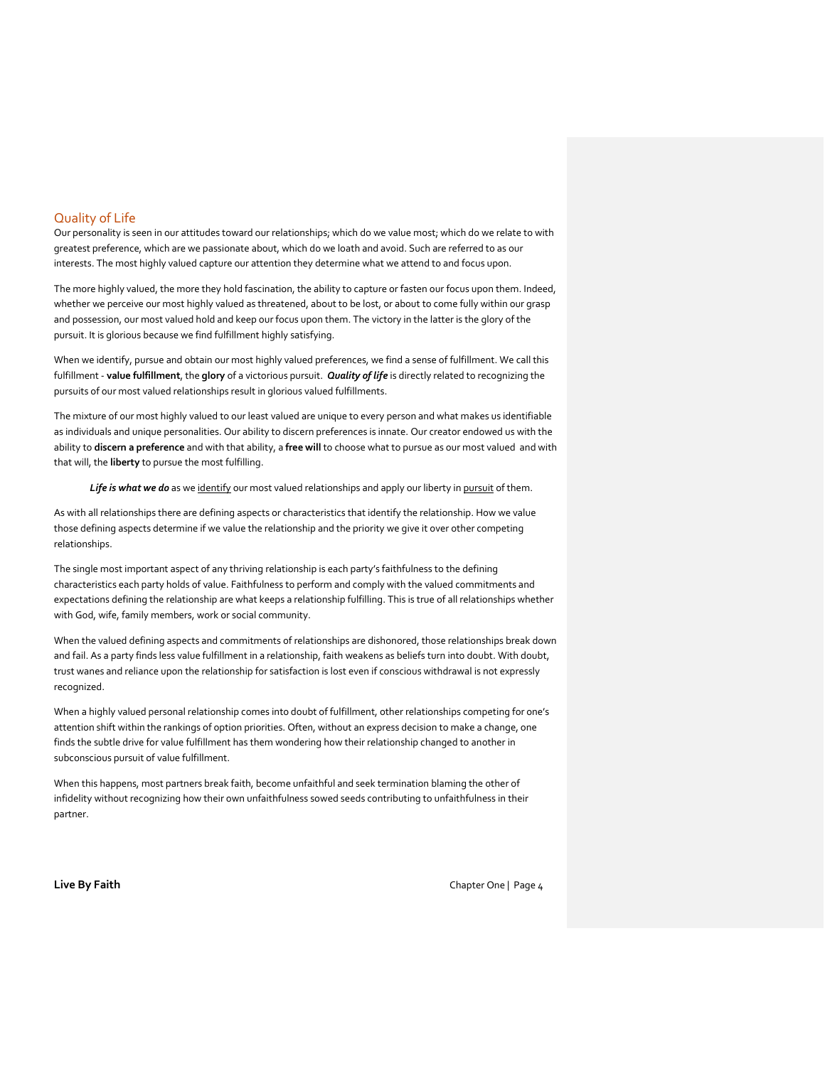# Quality of Life

Our personality is seen in our attitudes toward our relationships; which do we value most; which do we relate to with greatest preference, which are we passionate about, which do we loath and avoid. Such are referred to as our interests. The most highly valued capture our attention they determine what we attend to and focus upon.

The more highly valued, the more they hold fascination, the ability to capture or fasten our focus upon them. Indeed, whether we perceive our most highly valued as threatened, about to be lost, or about to come fully within our grasp and possession, our most valued hold and keep our focus upon them. The victory in the latter is the glory of the pursuit. It is glorious because we find fulfillment highly satisfying.

When we identify, pursue and obtain our most highly valued preferences, we find a sense of fulfillment. We call this fulfillment - **value fulfillment**, the **glory** of a victorious pursuit. *Quality of life* is directly related to recognizing the pursuits of our most valued relationships result in glorious valued fulfillments.

The mixture of our most highly valued to our least valued are unique to every person and what makes us identifiable as individuals and unique personalities. Our ability to discern preferences is innate. Our creator endowed us with the ability to **discern a preference** and with that ability, a **free will** to choose what to pursue as our most valued and with that will, the **liberty** to pursue the most fulfilling.

Life is what we do as we identify our most valued relationships and apply our liberty in pursuit of them.

As with all relationships there are defining aspects or characteristics that identify the relationship. How we value those defining aspects determine if we value the relationship and the priority we give it over other competing relationships.

The single most important aspect of any thriving relationship is each party's faithfulness to the defining characteristics each party holds of value. Faithfulness to perform and comply with the valued commitments and expectations defining the relationship are what keeps a relationship fulfilling. This is true of all relationships whether with God, wife, family members, work or social community.

When the valued defining aspects and commitments of relationships are dishonored, those relationships break down and fail. As a party finds less value fulfillment in a relationship, faith weakens as beliefs turn into doubt. With doubt, trust wanes and reliance upon the relationship for satisfaction is lost even if conscious withdrawal is not expressly recognized.

When a highly valued personal relationship comes into doubt of fulfillment, other relationships competing for one's attention shift within the rankings of option priorities. Often, without an express decision to make a change, one finds the subtle drive for value fulfillment has them wondering how their relationship changed to another in subconscious pursuit of value fulfillment.

When this happens, most partners break faith, become unfaithful and seek termination blaming the other of infidelity without recognizing how their own unfaithfulness sowed seeds contributing to unfaithfulness in their partner.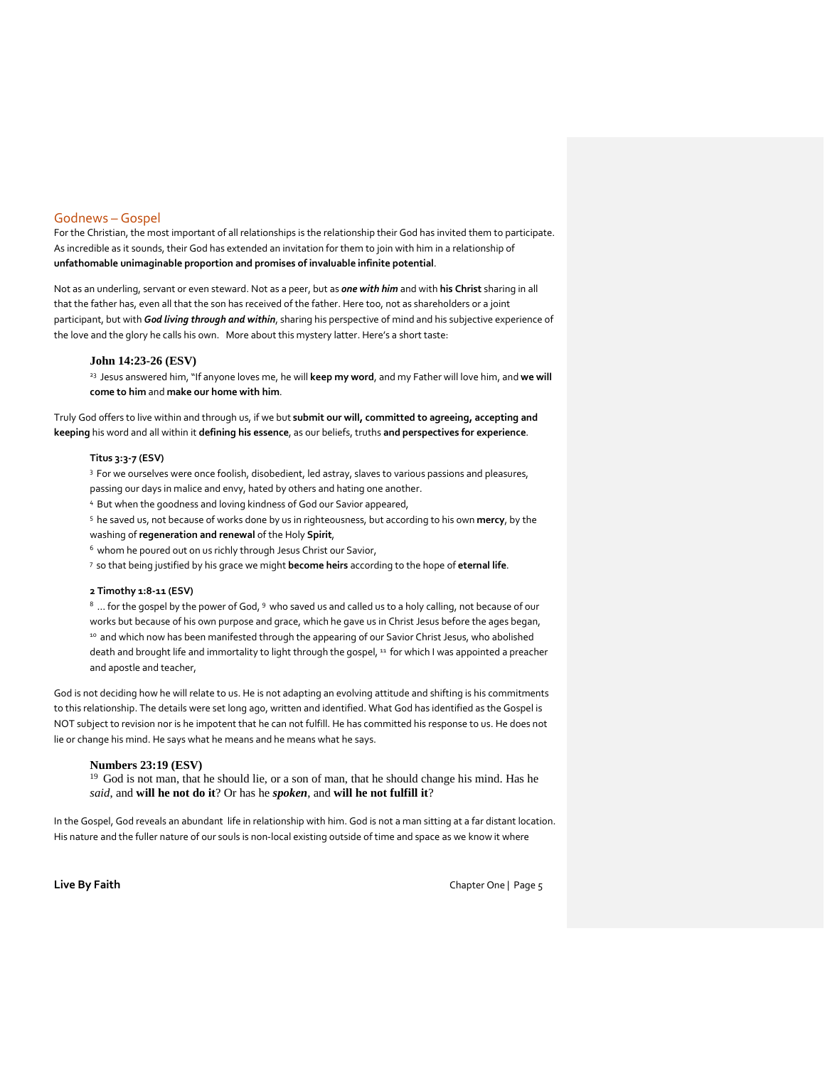## Godnews – Gospel

For the Christian, the most important of all relationships is the relationship their God has invited them to participate. As incredible as it sounds, their God has extended an invitation for them to join with him in a relationship of **unfathomable unimaginable proportion and promises of invaluable infinite potential**.

Not as an underling, servant or even steward. Not as a peer, but as *one with him* and with **his Christ** sharing in all that the father has, even all that the son has received of the father. Here too, not as shareholders or a joint participant, but with *God living through and within*, sharing his perspective of mind and his subjective experience of the love and the glory he calls his own. More about this mystery latter. Here's a short taste:

#### **John 14:23-26 (ESV)**

<sup>23</sup>Jesus answered him, "If anyone loves me, he will **keep my word**, and my Father will love him, and **we will come to him** and **make our home with him**.

Truly God offers to live within and through us, if we but **submit our will, committed to agreeing, accepting and keeping** his word and all within it **defining his essence**, as our beliefs, truths **and perspectives for experience**.

## **Titus 3:3-7 (ESV)**

<sup>3</sup> For we ourselves were once foolish, disobedient, led astray, slaves to various passions and pleasures, passing our days in malice and envy, hated by others and hating one another.

<sup>4</sup>But when the goodness and loving kindness of God our Savior appeared,

<sup>5</sup>he saved us, not because of works done by us in righteousness, but according to his own **mercy**, by the washing of **regeneration and renewal** of the Holy **Spirit**,

<sup>6</sup> whom he poured out on us richly through Jesus Christ our Savior,

<sup>7</sup>so that being justified by his grace we might **become heirs** according to the hope of **eternal life**.

#### **2 Timothy 1:8-11 (ESV)**

8 ... for the gospel by the power of God, 9 who saved us and called us to a holy calling, not because of our works but because of his own purpose and grace, which he gave us in Christ Jesus before the ages began, 10 and which now has been manifested through the appearing of our Savior Christ Jesus, who abolished death and brought life and immortality to light through the gospel, <sup>11</sup> for which I was appointed a preacher and apostle and teacher,

God is not deciding how he will relate to us. He is not adapting an evolving attitude and shifting is his commitments to this relationship. The details were set long ago, written and identified. What God has identified as the Gospel is NOT subject to revision nor is he impotent that he can not fulfill. He has committed his response to us. He does not lie or change his mind. He says what he means and he means what he says.

#### **Numbers 23:19 (ESV)**

<sup>19</sup> God is not man, that he should lie, or a son of man, that he should change his mind. Has he *said*, and **will he not do it**? Or has he *spoken*, and **will he not fulfill it**?

In the Gospel, God reveals an abundant life in relationship with him. God is not a man sitting at a far distant location. His nature and the fuller nature of our souls is non-local existing outside of time and space as we know it where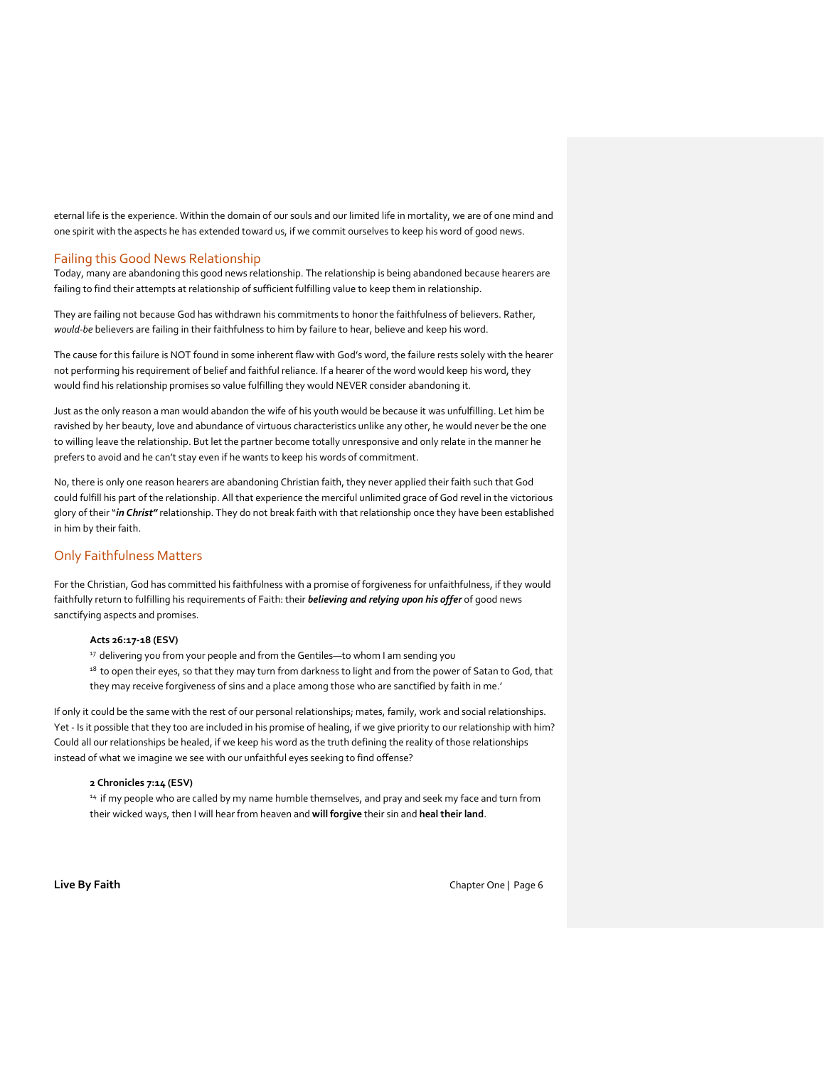eternal life is the experience. Within the domain of our souls and our limited life in mortality, we are of one mind and one spirit with the aspects he has extended toward us, if we commit ourselves to keep his word of good news.

## Failing this Good News Relationship

Today, many are abandoning this good news relationship. The relationship is being abandoned because hearers are failing to find their attempts at relationship of sufficient fulfilling value to keep them in relationship.

They are failing not because God has withdrawn his commitments to honor the faithfulness of believers. Rather, *would-be* believers are failing in their faithfulness to him by failure to hear, believe and keep his word.

The cause for this failure is NOT found in some inherent flaw with God's word, the failure rests solely with the hearer not performing his requirement of belief and faithful reliance. If a hearer of the word would keep his word, they would find his relationship promises so value fulfilling they would NEVER consider abandoning it.

Just as the only reason a man would abandon the wife of his youth would be because it was unfulfilling. Let him be ravished by her beauty, love and abundance of virtuous characteristics unlike any other, he would never be the one to willing leave the relationship. But let the partner become totally unresponsive and only relate in the manner he prefers to avoid and he can't stay even if he wants to keep his words of commitment.

No, there is only one reason hearers are abandoning Christian faith, they never applied their faith such that God could fulfill his part of the relationship. All that experience the merciful unlimited grace of God revel in the victorious glory of their "*in Christ"* relationship. They do not break faith with that relationship once they have been established in him by their faith.

# Only Faithfulness Matters

For the Christian, God has committed his faithfulness with a promise of forgiveness for unfaithfulness, if they would faithfully return to fulfilling his requirements of Faith: their *believing and relying upon his offer* of good news sanctifying aspects and promises.

## **Acts 26:17-18 (ESV)**

<sup>17</sup> delivering you from your people and from the Gentiles—to whom I am sending you

<sup>18</sup> to open their eyes, so that they may turn from darkness to light and from the power of Satan to God, that they may receive forgiveness of sins and a place among those who are sanctified by faith in me.'

If only it could be the same with the rest of our personal relationships; mates, family, work and social relationships. Yet - Is it possible that they too are included in his promise of healing, if we give priority to our relationship with him? Could all our relationships be healed, if we keep his word as the truth defining the reality of those relationships instead of what we imagine we see with our unfaithful eyes seeking to find offense?

## **2 Chronicles 7:14 (ESV)**

<sup>14</sup> if my people who are called by my name humble themselves, and pray and seek my face and turn from their wicked ways, then I will hear from heaven and **will forgive** their sin and **heal their land**.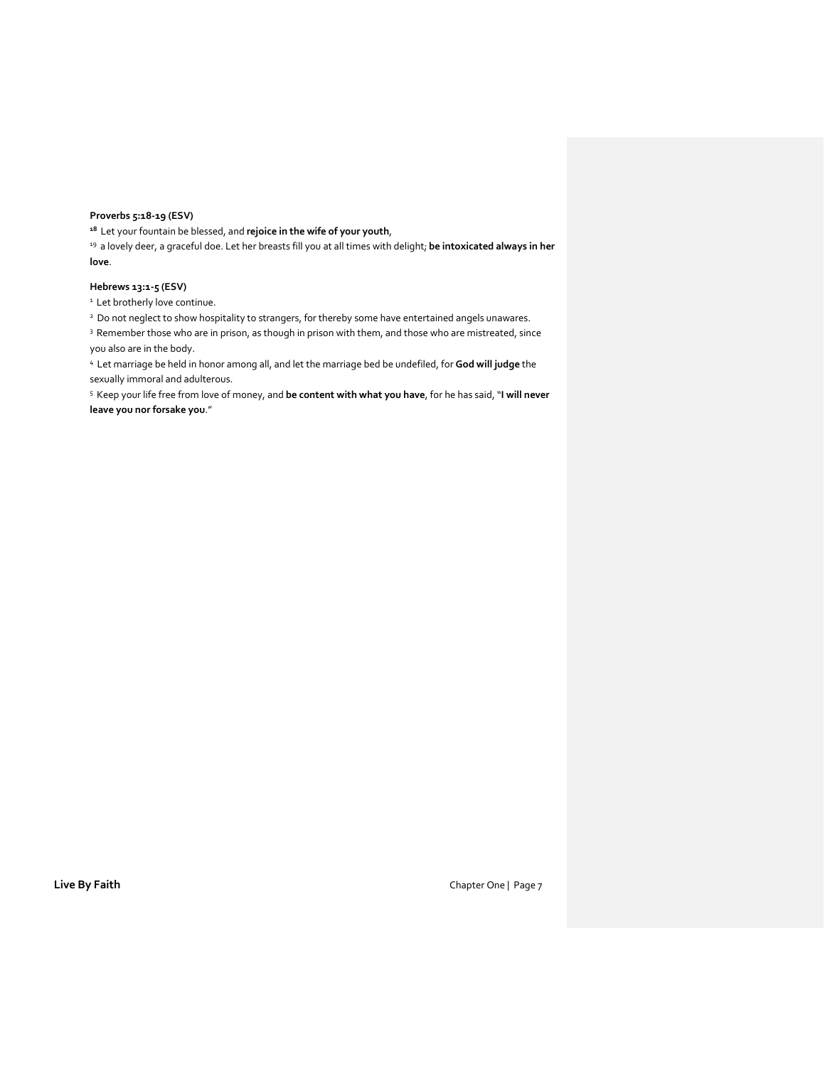# **Proverbs 5:18-19 (ESV)**

**<sup>18</sup>**Let your fountain be blessed, and **rejoice in the wife of your youth**,

<sup>19</sup> a lovely deer, a graceful doe. Let her breasts fill you at all times with delight; be intoxicated always in her **love**.

## **Hebrews 13:1-5 (ESV)**

<sup>1</sup> Let brotherly love continue.

<sup>2</sup> Do not neglect to show hospitality to strangers, for thereby some have entertained angels unawares.

<sup>3</sup> Remember those who are in prison, as though in prison with them, and those who are mistreated, since you also are in the body.

<sup>4</sup>Let marriage be held in honor among all, and let the marriage bed be undefiled, for **God will judge** the sexually immoral and adulterous.

<sup>5</sup>Keep your life free from love of money, and **be content with what you have**, for he has said, "**I will never leave you nor forsake you**."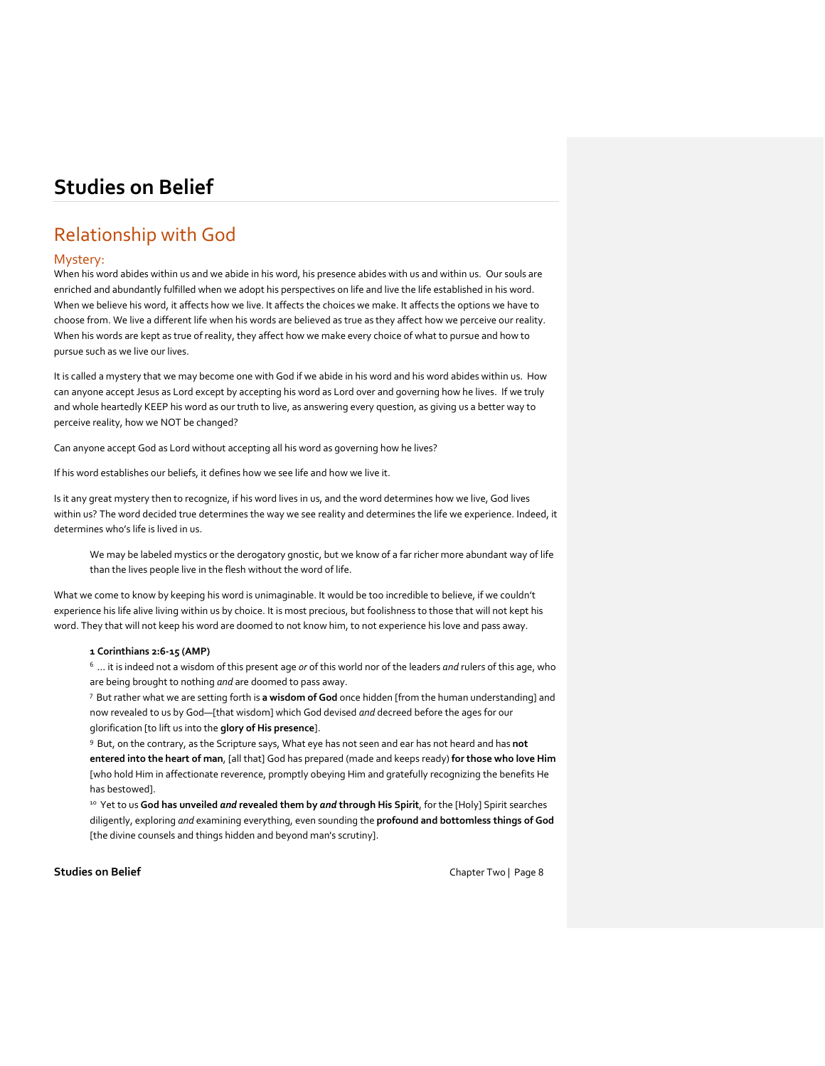# Relationship with God

# Mystery:

When his word abides within us and we abide in his word, his presence abides with us and within us. Our souls are enriched and abundantly fulfilled when we adopt his perspectives on life and live the life established in his word. When we believe his word, it affects how we live. It affects the choices we make. It affects the options we have to choose from. We live a different life when his words are believed as true as they affect how we perceive our reality. When his words are kept as true of reality, they affect how we make every choice of what to pursue and how to pursue such as we live our lives.

It is called a mystery that we may become one with God if we abide in his word and his word abides within us. How can anyone accept Jesus as Lord except by accepting his word as Lord over and governing how he lives. If we truly and whole heartedly KEEP his word as our truth to live, as answering every question, as giving us a better way to perceive reality, how we NOT be changed?

Can anyone accept God as Lord without accepting all his word as governing how he lives?

If his word establishes our beliefs, it defines how we see life and how we live it.

Is it any great mystery then to recognize, if his word lives in us, and the word determines how we live, God lives within us? The word decided true determines the way we see reality and determines the life we experience. Indeed, it determines who's life is lived in us.

We may be labeled mystics or the derogatory gnostic, but we know of a far richer more abundant way of life than the lives people live in the flesh without the word of life.

What we come to know by keeping his word is unimaginable. It would be too incredible to believe, if we couldn't experience his life alive living within us by choice. It is most precious, but foolishness to those that will not kept his word. They that will not keep his word are doomed to not know him, to not experience his love and pass away.

## **1 Corinthians 2:6-15 (AMP)**

<sup>6</sup>… it is indeed not a wisdom of this present age *or* of this world nor of the leaders *and* rulers of this age, who are being brought to nothing *and* are doomed to pass away.

<sup>7</sup>But rather what we are setting forth is **a wisdom of God** once hidden [from the human understanding] and now revealed to us by God—[that wisdom] which God devised *and* decreed before the ages for our glorification [to lift us into the **glory of His presence**].

<sup>9</sup>But, on the contrary, as the Scripture says, What eye has not seen and ear has not heard and has **not entered into the heart of man**, [all that] God has prepared (made and keeps ready) **for those who love Him** [who hold Him in affectionate reverence, promptly obeying Him and gratefully recognizing the benefits He has bestowed].

<sup>10</sup> Yet to us God has unveiled *and* revealed them by *and* through His Spirit, for the [Holy] Spirit searches diligently, exploring *and* examining everything, even sounding the **profound and bottomless things of God** [the divine counsels and things hidden and beyond man's scrutiny].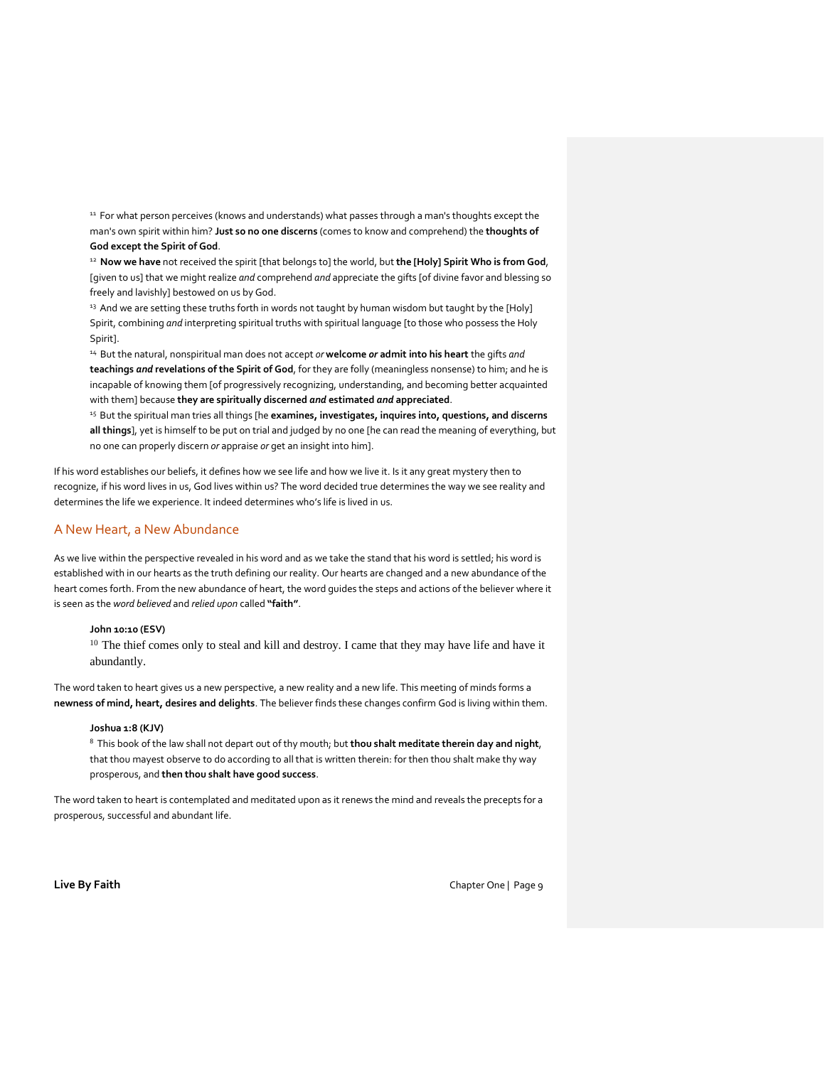11 For what person perceives (knows and understands) what passes through a man's thoughts except the man's own spirit within him? **Just so no one discerns** (comes to know and comprehend) the **thoughts of God except the Spirit of God**.

<sup>12</sup>**Now we have** not received the spirit [that belongs to] the world, but **the [Holy] Spirit Who is from God**, [given to us] that we might realize *and* comprehend *and* appreciate the gifts [of divine favor and blessing so freely and lavishly] bestowed on us by God.

<sup>13</sup> And we are setting these truths forth in words not taught by human wisdom but taught by the [Holy] Spirit, combining *and* interpreting spiritual truths with spiritual language [to those who possess the Holy Spirit].

<sup>14</sup>But the natural, nonspiritual man does not accept *or* **welcome** *or* **admit into his heart** the gifts *and* **teachings** *and* **revelations of the Spirit of God**, for they are folly (meaningless nonsense) to him; and he is incapable of knowing them [of progressively recognizing, understanding, and becoming better acquainted with them] because **they are spiritually discerned** *and* **estimated** *and* **appreciated**.

<sup>15</sup> But the spiritual man tries all things [he examines, investigates, inquires into, questions, and discerns **all things**], yet is himself to be put on trial and judged by no one [he can read the meaning of everything, but no one can properly discern *or* appraise *or* get an insight into him].

If his word establishes our beliefs, it defines how we see life and how we live it. Is it any great mystery then to recognize, if his word lives in us, God lives within us? The word decided true determines the way we see reality and determines the life we experience. It indeed determines who's life is lived in us.

# A New Heart, a New Abundance

As we live within the perspective revealed in his word and as we take the stand that his word is settled; his word is established with in our hearts as the truth defining our reality. Our hearts are changed and a new abundance of the heart comes forth. From the new abundance of heart, the word guides the steps and actions of the believer where it is seen as the *word believed* and *relied upon* called **"faith"**.

## **John 10:10 (ESV)**

<sup>10</sup> The thief comes only to steal and kill and destroy. I came that they may have life and have it abundantly.

The word taken to heart gives us a new perspective, a new reality and a new life. This meeting of minds forms a **newness of mind, heart, desires and delights**. The believer finds these changes confirm God is living within them.

## **Joshua 1:8 (KJV)**

<sup>8</sup>This book of the law shall not depart out of thy mouth; but **thou shalt meditate therein day and night**, that thou mayest observe to do according to all that is written therein: for then thou shalt make thy way prosperous, and **then thou shalt have good success**.

The word taken to heart is contemplated and meditated upon as it renews the mind and reveals the precepts for a prosperous, successful and abundant life.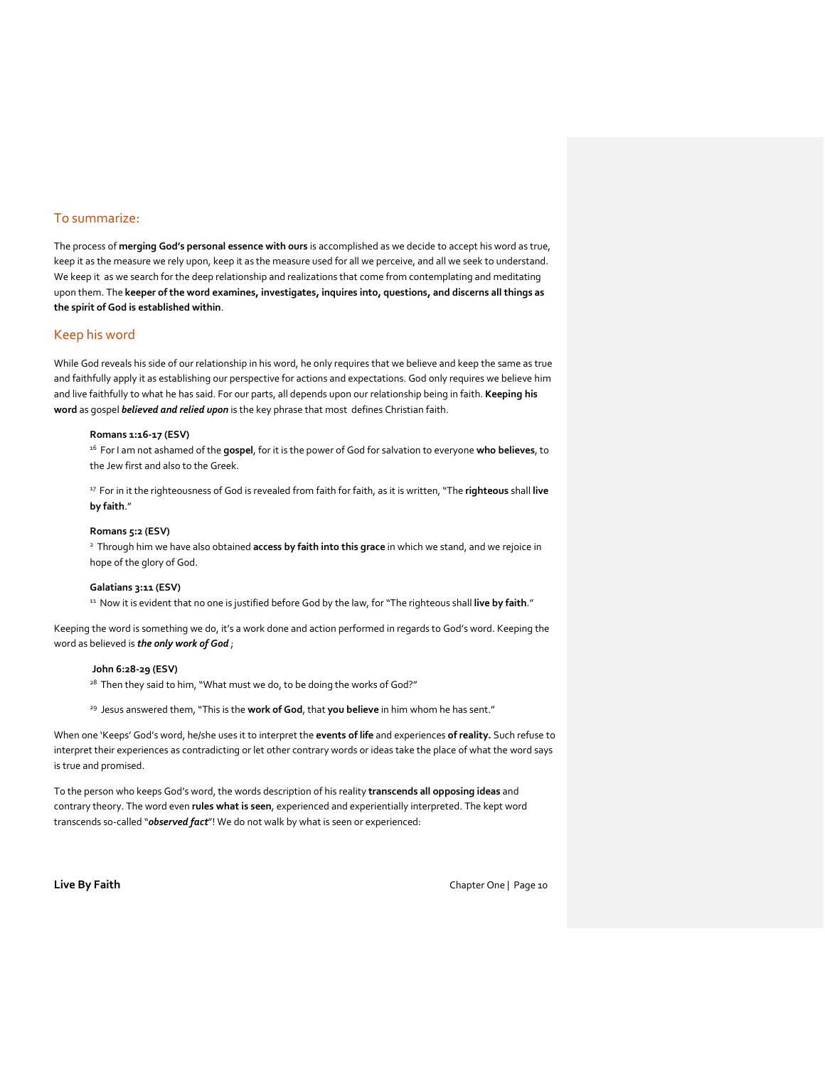# To summarize:

The process of **merging God's personal essence with ours** is accomplished as we decide to accept his word as true, keep it as the measure we rely upon, keep it as the measure used for all we perceive, and all we seek to understand. We keep it as we search for the deep relationship and realizations that come from contemplating and meditating upon them. The **keeper of the word examines, investigates, inquires into, questions, and discerns all things as the spirit of God is established within**.

# Keep his word

While God reveals his side of our relationship in his word, he only requires that we believe and keep the same as true and faithfully apply it as establishing our perspective for actions and expectations. God only requires we believe him and live faithfully to what he has said. For our parts, all depends upon our relationship being in faith. **Keeping his word** as gospel *believed and relied upon* is the key phrase that most defines Christian faith.

#### **Romans 1:16-17 (ESV)**

<sup>16</sup>For I am not ashamed of the **gospel**, for it is the power of God for salvation to everyone **who believes**, to the Jew first and also to the Greek.

<sup>17</sup>For in it the righteousness of God is revealed from faith for faith, as it is written, "The **righteous** shall **live by faith**."

## **Romans 5:2 (ESV)**

<sup>2</sup>Through him we have also obtained **access by faith into this grace** in which we stand, and we rejoice in hope of the glory of God.

#### **Galatians 3:11 (ESV)**

<sup>11</sup> Now it is evident that no one is justified before God by the law, for "The righteous shall live by faith."

Keeping the word is something we do, it's a work done and action performed in regards to God's word. Keeping the word as believed is *the only work of God* ;

### **John 6:28-29 (ESV)**

<sup>28</sup> Then they said to him, "What must we do, to be doing the works of God?"

<sup>29</sup> Jesus answered them, "This is the work of God, that you believe in him whom he has sent."

When one 'Keeps' God's word, he/she uses it to interpret the **events of life** and experiences **of reality.** Such refuse to interpret their experiences as contradicting or let other contrary words or ideas take the place of what the word says is true and promised.

To the person who keeps God's word, the words description of his reality **transcends all opposing ideas** and contrary theory. The word even **rules what is seen**, experienced and experientially interpreted. The kept word transcends so-called "*observed fact*"! We do not walk by what is seen or experienced: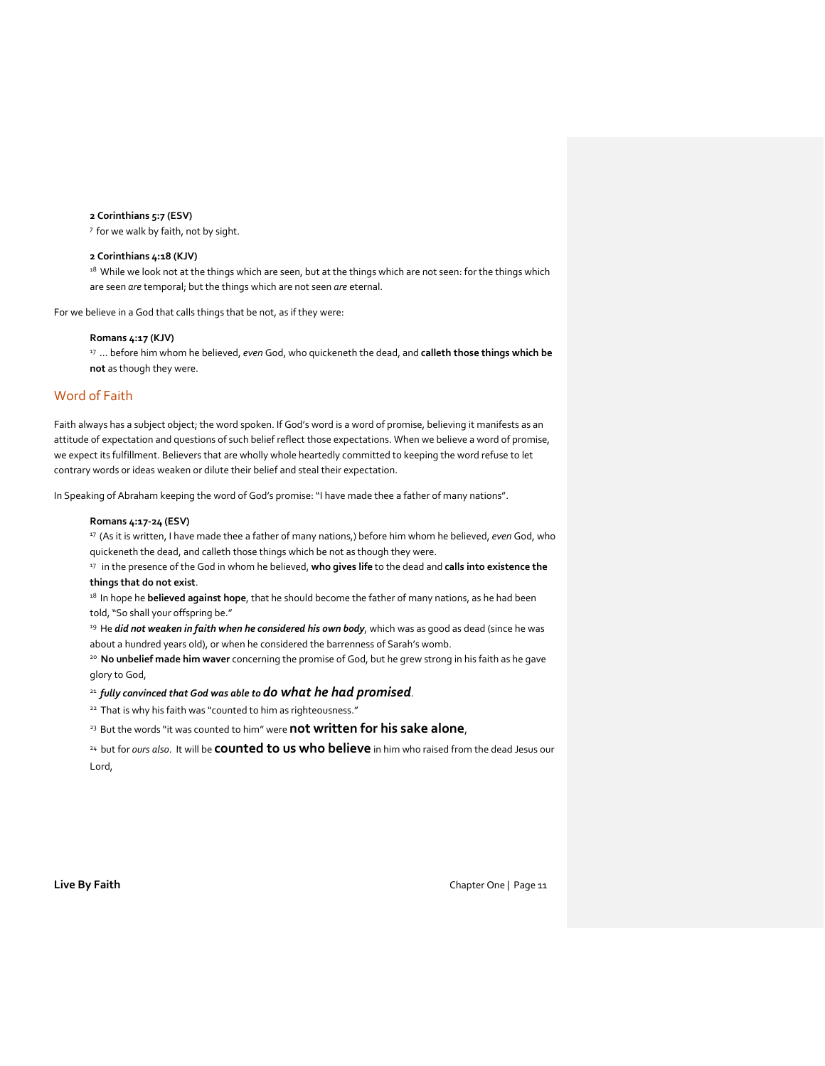#### **2 Corinthians 5:7 (ESV)**

<sup>7</sup> for we walk by faith, not by sight.

## **2 Corinthians 4:18 (KJV)**

18 While we look not at the things which are seen, but at the things which are not seen: for the things which are seen *are* temporal; but the things which are not seen *are* eternal.

For we believe in a God that calls things that be not, as if they were:

### **Romans 4:17 (KJV)**

<sup>17</sup>… before him whom he believed, *even* God, who quickeneth the dead, and **calleth those things which be not** as though they were.

# Word of Faith

Faith always has a subject object; the word spoken. If God's word is a word of promise, believing it manifests as an attitude of expectation and questions of such belief reflect those expectations. When we believe a word of promise, we expect its fulfillment. Believers that are wholly whole heartedly committed to keeping the word refuse to let contrary words or ideas weaken or dilute their belief and steal their expectation.

In Speaking of Abraham keeping the word of God's promise: "I have made thee a father of many nations".

#### **Romans 4:17-24 (ESV)**

<sup>17</sup>(As it is written, I have made thee a father of many nations,) before him whom he believed, *even* God, who quickeneth the dead, and calleth those things which be not as though they were.

<sup>17</sup> in the presence of the God in whom he believed, who gives life to the dead and calls into existence the **things that do not exist**.

<sup>18</sup> In hope he **believed against hope**, that he should become the father of many nations, as he had been told, "So shall your offspring be."

<sup>19</sup> He *did not weaken in faith when he considered his own body*, which was as good as dead (since he was about a hundred years old), or when he considered the barrenness of Sarah's womb.

<sup>20</sup>**No unbelief made him waver** concerning the promise of God, but he grew strong in his faith as he gave glory to God,

## <sup>21</sup>*fully convinced that God was able to do what he had promised*.

<sup>22</sup> That is why his faith was "counted to him as righteousness."

<sup>23</sup> But the words "it was counted to him" were **not written for his sake alone**,

<sup>24</sup> but for *ours also*. It will be **counted to us who believe** in him who raised from the dead Jesus our Lord,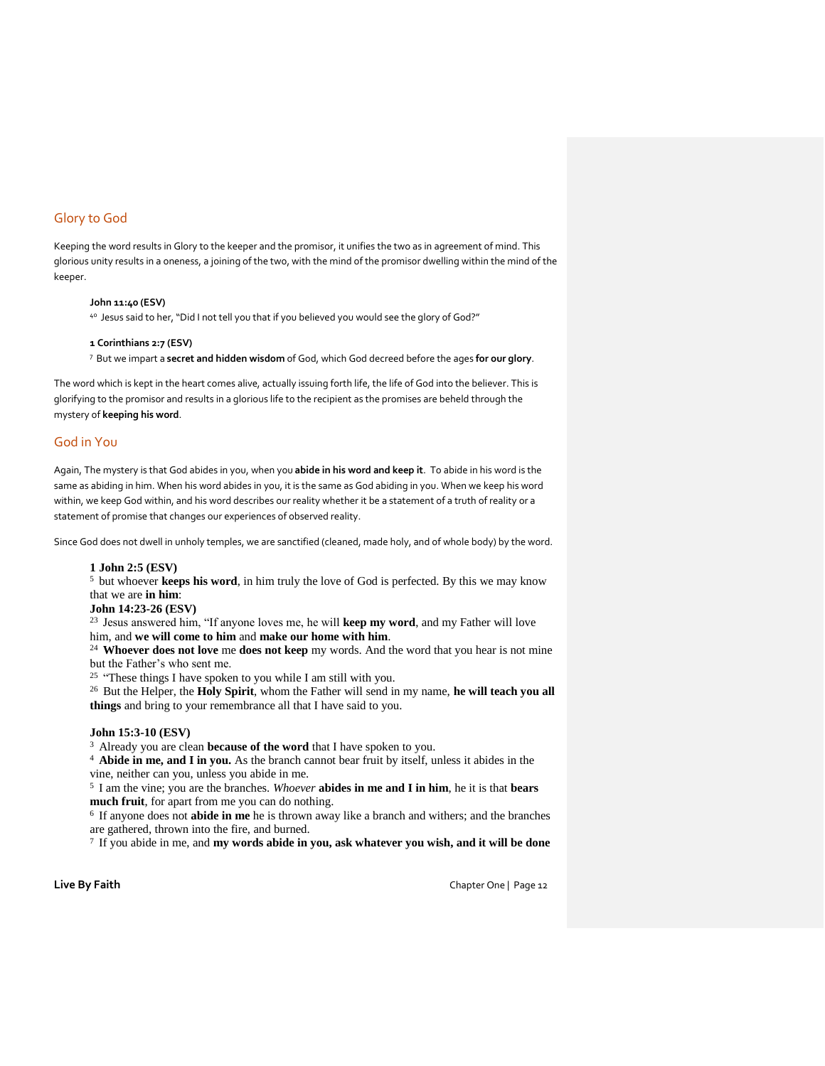# Glory to God

Keeping the word results in Glory to the keeper and the promisor, it unifies the two as in agreement of mind. This glorious unity results in a oneness, a joining of the two, with the mind of the promisor dwelling within the mind of the keeper.

## **John 11:40 (ESV)**

40 Jesus said to her, "Did I not tell you that if you believed you would see the glory of God?"

#### **1 Corinthians 2:7 (ESV)**

<sup>7</sup>But we impart a **secret and hidden wisdom** of God, which God decreed before the ages **for our glory**.

The word which is kept in the heart comes alive, actually issuing forth life, the life of God into the believer. This is glorifying to the promisor and results in a glorious life to the recipient as the promises are beheld through the mystery of **keeping his word**.

# God in You

Again, The mystery is that God abides in you, when you **abide in his word and keep it**. To abide in his word is the same as abiding in him. When his word abides in you, it is the same as God abiding in you. When we keep his word within, we keep God within, and his word describes our reality whether it be a statement of a truth of reality or a statement of promise that changes our experiences of observed reality.

Since God does not dwell in unholy temples, we are sanctified (cleaned, made holy, and of whole body) by the word.

#### **1 John 2:5 (ESV)**

<sup>5</sup> but whoever **keeps his word**, in him truly the love of God is perfected. By this we may know that we are **in him**:

# **John 14:23-26 (ESV)**

<sup>23</sup> Jesus answered him, "If anyone loves me, he will keep my word, and my Father will love him, and **we will come to him** and **make our home with him**.

<sup>24</sup>**Whoever does not love** me **does not keep** my words. And the word that you hear is not mine but the Father's who sent me.

<sup>25</sup> "These things I have spoken to you while I am still with you.

<sup>26</sup> But the Helper, the **Holy Spirit**, whom the Father will send in my name, **he will teach you all things** and bring to your remembrance all that I have said to you.

## **John 15:3-10 (ESV)**

<sup>3</sup> Already you are clean **because of the word** that I have spoken to you.

<sup>4</sup>**Abide in me, and I in you.** As the branch cannot bear fruit by itself, unless it abides in the vine, neither can you, unless you abide in me.

<sup>5</sup>I am the vine; you are the branches. *Whoever* **abides in me and I in him**, he it is that **bears much fruit**, for apart from me you can do nothing.

<sup>6</sup> If anyone does not **abide in me** he is thrown away like a branch and withers; and the branches are gathered, thrown into the fire, and burned.

7 If you abide in me, and **my words abide in you, ask whatever you wish, and it will be done**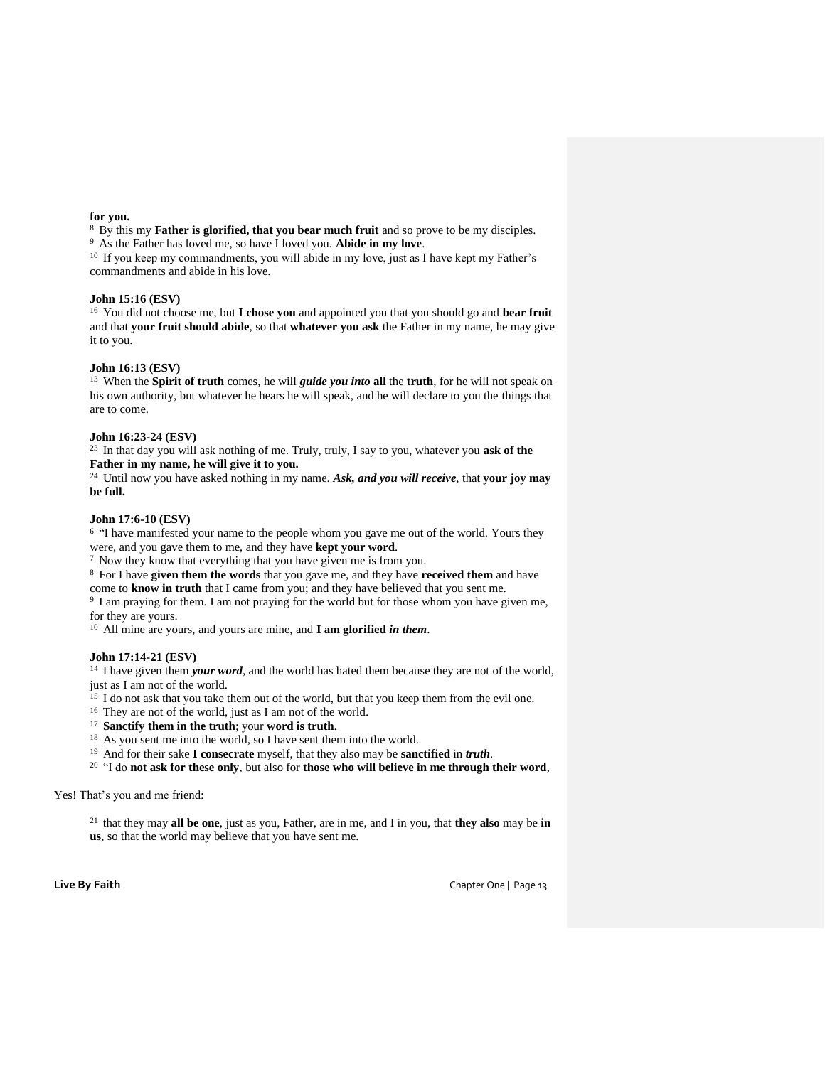### **for you.**

<sup>8</sup> By this my **Father is glorified, that you bear much fruit** and so prove to be my disciples. <sup>9</sup>As the Father has loved me, so have I loved you. **Abide in my love**.

<sup>10</sup> If you keep my commandments, you will abide in my love, just as I have kept my Father's commandments and abide in his love.

## **John 15:16 (ESV)**

<sup>16</sup> You did not choose me, but **I chose you** and appointed you that you should go and **bear fruit** and that **your fruit should abide**, so that **whatever you ask** the Father in my name, he may give it to you.

## **John 16:13 (ESV)**

<sup>13</sup>When the **Spirit of truth** comes, he will *guide you into* **all** the **truth**, for he will not speak on his own authority, but whatever he hears he will speak, and he will declare to you the things that are to come.

## **John 16:23-24 (ESV)**

<sup>23</sup> In that day you will ask nothing of me. Truly, truly, I say to you, whatever you ask of the **Father in my name, he will give it to you.**

<sup>24</sup> Until now you have asked nothing in my name. Ask, and you will receive, that your joy may **be full.**

# **John 17:6-10 (ESV)**

<sup>6</sup> "I have manifested your name to the people whom you gave me out of the world. Yours they were, and you gave them to me, and they have **kept your word**.

 $7$  Now they know that everything that you have given me is from you.

<sup>8</sup>For I have **given them the words** that you gave me, and they have **received them** and have come to **know in truth** that I came from you; and they have believed that you sent me.

<sup>9</sup> I am praying for them. I am not praying for the world but for those whom you have given me, for they are yours.

<sup>10</sup>All mine are yours, and yours are mine, and **I am glorified** *in them*.

# **John 17:14-21 (ESV)**

<sup>14</sup> I have given them *your word*, and the world has hated them because they are not of the world, just as I am not of the world.

<sup>15</sup> I do not ask that you take them out of the world, but that you keep them from the evil one.

<sup>16</sup> They are not of the world, just as I am not of the world.

- <sup>17</sup>**Sanctify them in the truth**; your **word is truth**.
- <sup>18</sup> As you sent me into the world, so I have sent them into the world.
- <sup>19</sup>And for their sake **I consecrate** myself, that they also may be **sanctified** in *truth*.
- <sup>20</sup>"I do **not ask for these only**, but also for **those who will believe in me through their word**,

Yes! That's you and me friend:

<sup>21</sup> that they may **all be one**, just as you, Father, are in me, and I in you, that **they also** may be in **us**, so that the world may believe that you have sent me.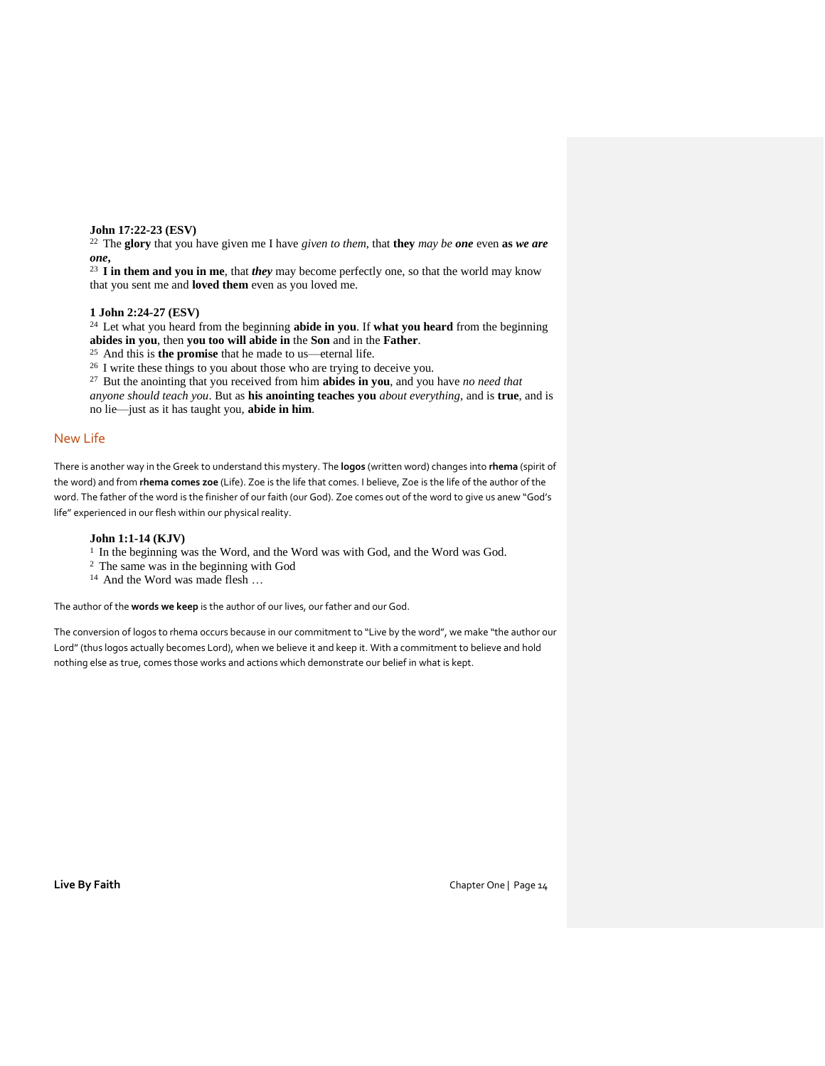**John 17:22-23 (ESV)** 

<sup>22</sup>The **glory** that you have given me I have *given to them*, that **they** *may be one* even **as** *we are one***,** 

<sup>23</sup>**I in them and you in me**, that *they* may become perfectly one, so that the world may know that you sent me and **loved them** even as you loved me.

**1 John 2:24-27 (ESV)** 

<sup>24</sup>Let what you heard from the beginning **abide in you**. If **what you heard** from the beginning **abides in you**, then **you too will abide in** the **Son** and in the **Father**.

<sup>25</sup>And this is **the promise** that he made to us—eternal life.

<sup>26</sup> I write these things to you about those who are trying to deceive you.

<sup>27</sup>But the anointing that you received from him **abides in you**, and you have *no need that* 

*anyone should teach you*. But as **his anointing teaches you** *about everything*, and is **true**, and is no lie—just as it has taught you, **abide in him**.

# New Life

There is another way in the Greek to understand this mystery. The **logos** (written word) changes into **rhema** (spirit of the word) and from **rhema comes zoe** (Life). Zoe is the life that comes. I believe, Zoe is the life of the author of the word. The father of the word is the finisher of our faith (our God). Zoe comes out of the word to give us anew "God's life" experienced in our flesh within our physical reality.

#### **John 1:1-14 (KJV)**

<sup>1</sup> In the beginning was the Word, and the Word was with God, and the Word was God.

- <sup>2</sup> The same was in the beginning with God
- <sup>14</sup> And the Word was made flesh ...

The author of the **words we keep** is the author of our lives, our father and our God.

The conversion of logos to rhema occurs because in our commitment to "Live by the word", we make "the author our Lord" (thus logos actually becomes Lord), when we believe it and keep it. With a commitment to believe and hold nothing else as true, comes those works and actions which demonstrate our belief in what is kept.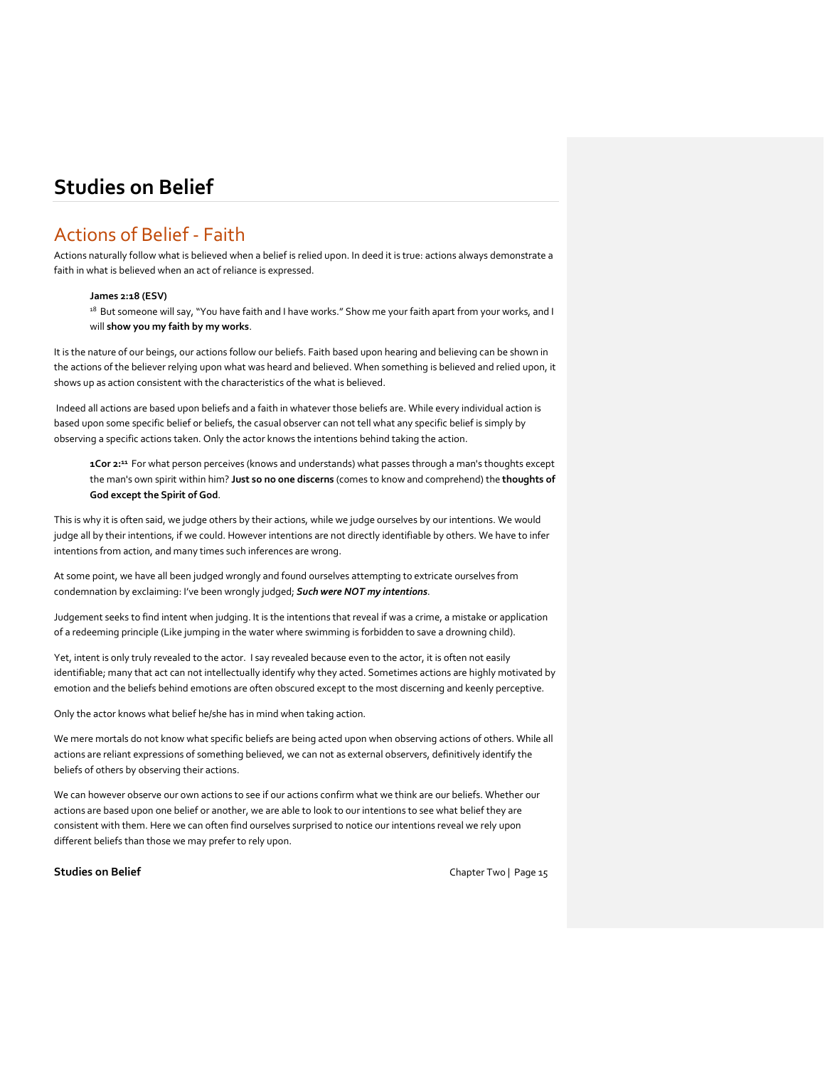# Actions of Belief - Faith

Actions naturally follow what is believed when a belief is relied upon. In deed it is true: actions always demonstrate a faith in what is believed when an act of reliance is expressed.

# **James 2:18 (ESV)**

<sup>18</sup> But someone will say, "You have faith and I have works." Show me your faith apart from your works, and I will **show you my faith by my works**.

It is the nature of our beings, our actions follow our beliefs. Faith based upon hearing and believing can be shown in the actions of the believer relying upon what was heard and believed. When something is believed and relied upon, it shows up as action consistent with the characteristics of the what is believed.

Indeed all actions are based upon beliefs and a faith in whatever those beliefs are. While every individual action is based upon some specific belief or beliefs, the casual observer can not tell what any specific belief is simply by observing a specific actions taken. Only the actor knows the intentions behind taking the action.

**1Cor 2:<sup>11</sup>** For what person perceives (knows and understands) what passes through a man's thoughts except the man's own spirit within him? **Just so no one discerns** (comes to know and comprehend) the **thoughts of God except the Spirit of God**.

This is why it is often said, we judge others by their actions, while we judge ourselves by our intentions. We would judge all by their intentions, if we could. However intentions are not directly identifiable by others. We have to infer intentions from action, and many times such inferences are wrong.

At some point, we have all been judged wrongly and found ourselves attempting to extricate ourselves from condemnation by exclaiming: I've been wrongly judged; *Such were NOT my intentions*.

Judgement seeks to find intent when judging. It is the intentions that reveal if was a crime, a mistake or application of a redeeming principle (Like jumping in the water where swimming is forbidden to save a drowning child).

Yet, intent is only truly revealed to the actor. I say revealed because even to the actor, it is often not easily identifiable; many that act can not intellectually identify why they acted. Sometimes actions are highly motivated by emotion and the beliefs behind emotions are often obscured except to the most discerning and keenly perceptive.

Only the actor knows what belief he/she has in mind when taking action.

We mere mortals do not know what specific beliefs are being acted upon when observing actions of others. While all actions are reliant expressions of something believed, we can not as external observers, definitively identify the beliefs of others by observing their actions.

We can however observe our own actions to see if our actions confirm what we think are our beliefs. Whether our actions are based upon one belief or another, we are able to look to our intentions to see what belief they are consistent with them. Here we can often find ourselves surprised to notice our intentions reveal we rely upon different beliefs than those we may prefer to rely upon.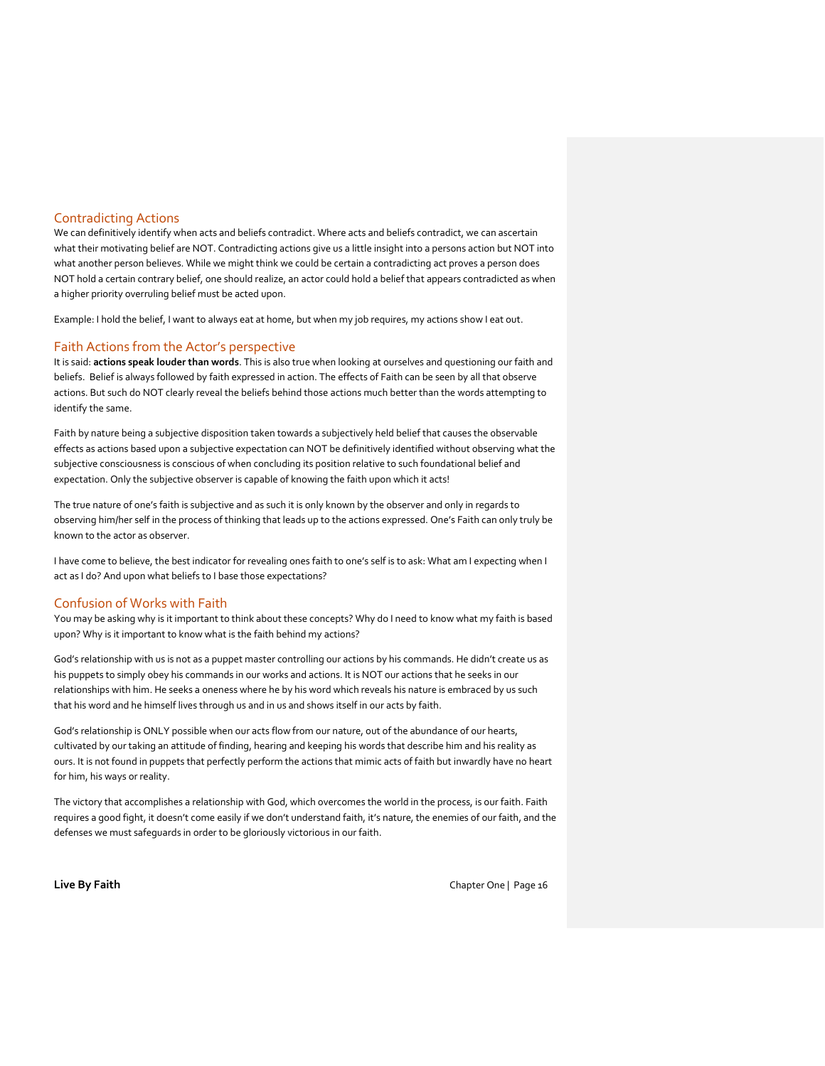## Contradicting Actions

We can definitively identify when acts and beliefs contradict. Where acts and beliefs contradict, we can ascertain what their motivating belief are NOT. Contradicting actions give us a little insight into a persons action but NOT into what another person believes. While we might think we could be certain a contradicting act proves a person does NOT hold a certain contrary belief, one should realize, an actor could hold a belief that appears contradicted as when a higher priority overruling belief must be acted upon.

Example: I hold the belief, I want to always eat at home, but when my job requires, my actions show I eat out.

## Faith Actions from the Actor's perspective

It is said: **actions speak louder than words**. This is also true when looking at ourselves and questioning our faith and beliefs. Belief is always followed by faith expressed in action. The effects of Faith can be seen by all that observe actions. But such do NOT clearly reveal the beliefs behind those actions much better than the words attempting to identify the same.

Faith by nature being a subjective disposition taken towards a subjectively held belief that causes the observable effects as actions based upon a subjective expectation can NOT be definitively identified without observing what the subjective consciousness is conscious of when concluding its position relative to such foundational belief and expectation. Only the subjective observer is capable of knowing the faith upon which it acts!

The true nature of one's faith is subjective and as such it is only known by the observer and only in regards to observing him/her self in the process of thinking that leads up to the actions expressed. One's Faith can only truly be known to the actor as observer.

I have come to believe, the best indicator for revealing ones faith to one's self is to ask: What am I expecting when I act as I do? And upon what beliefs to I base those expectations?

### Confusion of Works with Faith

You may be asking why is it important to think about these concepts? Why do I need to know what my faith is based upon? Why is it important to know what is the faith behind my actions?

God's relationship with us is not as a puppet master controlling our actions by his commands. He didn't create us as his puppets to simply obey his commands in our works and actions. It is NOT our actions that he seeks in our relationships with him. He seeks a oneness where he by his word which reveals his nature is embraced by us such that his word and he himself lives through us and in us and shows itself in our acts by faith.

God's relationship is ONLY possible when our acts flow from our nature, out of the abundance of our hearts, cultivated by our taking an attitude of finding, hearing and keeping his words that describe him and his reality as ours. It is not found in puppets that perfectly perform the actions that mimic acts of faith but inwardly have no heart for him, his ways or reality.

The victory that accomplishes a relationship with God, which overcomes the world in the process, is our faith. Faith requires a good fight, it doesn't come easily if we don't understand faith, it's nature, the enemies of our faith, and the defenses we must safeguards in order to be gloriously victorious in our faith.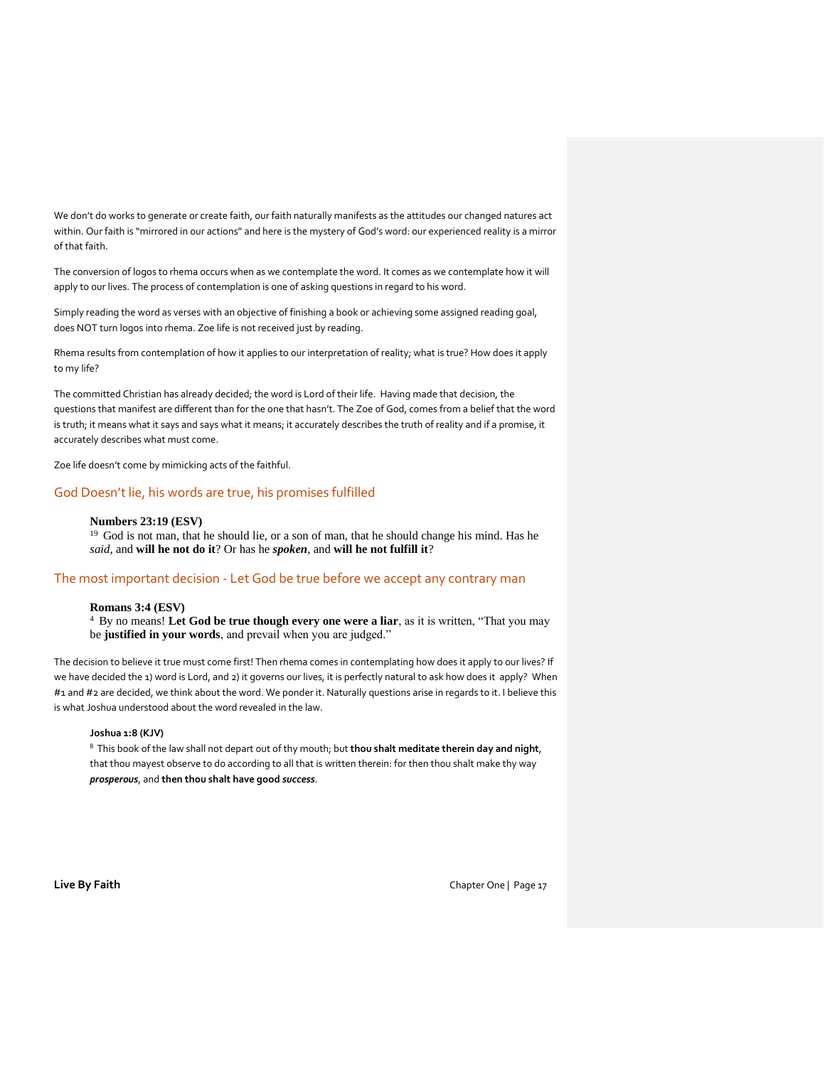We don't do works to generate or create faith, our faith naturally manifests as the attitudes our changed natures act within. Our faith is "mirrored in our actions" and here is the mystery of God's word: our experienced reality is a mirror of that faith.

The conversion of logos to rhema occurs when as we contemplate the word. It comes as we contemplate how it will apply to our lives. The process of contemplation is one of asking questions in regard to his word.

Simply reading the word as verses with an objective of finishing a book or achieving some assigned reading goal, does NOT turn logos into rhema. Zoe life is not received just by reading.

Rhema results from contemplation of how it applies to our interpretation of reality; what is true? How does it apply to my life?

The committed Christian has already decided; the word is Lord of their life. Having made that decision, the questions that manifest are different than for the one that hasn't. The Zoe of God, comes from a belief that the word is truth; it means what it says and says what it means; it accurately describes the truth of reality and if a promise, it accurately describes what must come.

Zoe life doesn't come by mimicking acts of the faithful.

# God Doesn't lie, his words are true, his promises fulfilled

#### **Numbers 23:19 (ESV)**

<sup>19</sup> God is not man, that he should lie, or a son of man, that he should change his mind. Has he *said*, and **will he not do it**? Or has he *spoken*, and **will he not fulfill it**?

## The most important decision - Let God be true before we accept any contrary man

## **Romans 3:4 (ESV)**

<sup>4</sup> By no means! Let God be true though every one were a liar, as it is written, "That you may be **justified in your words**, and prevail when you are judged."

The decision to believe it true must come first! Then rhema comes in contemplating how does it apply to our lives? If we have decided the 1) word is Lord, and 2) it governs our lives, it is perfectly natural to ask how does it apply? When #1 and #2 are decided, we think about the word. We ponder it. Naturally questions arise in regards to it. I believe this is what Joshua understood about the word revealed in the law.

### **Joshua 1:8 (KJV)**

<sup>8</sup>This book of the law shall not depart out of thy mouth; but **thou shalt meditate therein day and night**, that thou mayest observe to do according to all that is written therein: for then thou shalt make thy way *prosperous*, and **then thou shalt have good** *success*.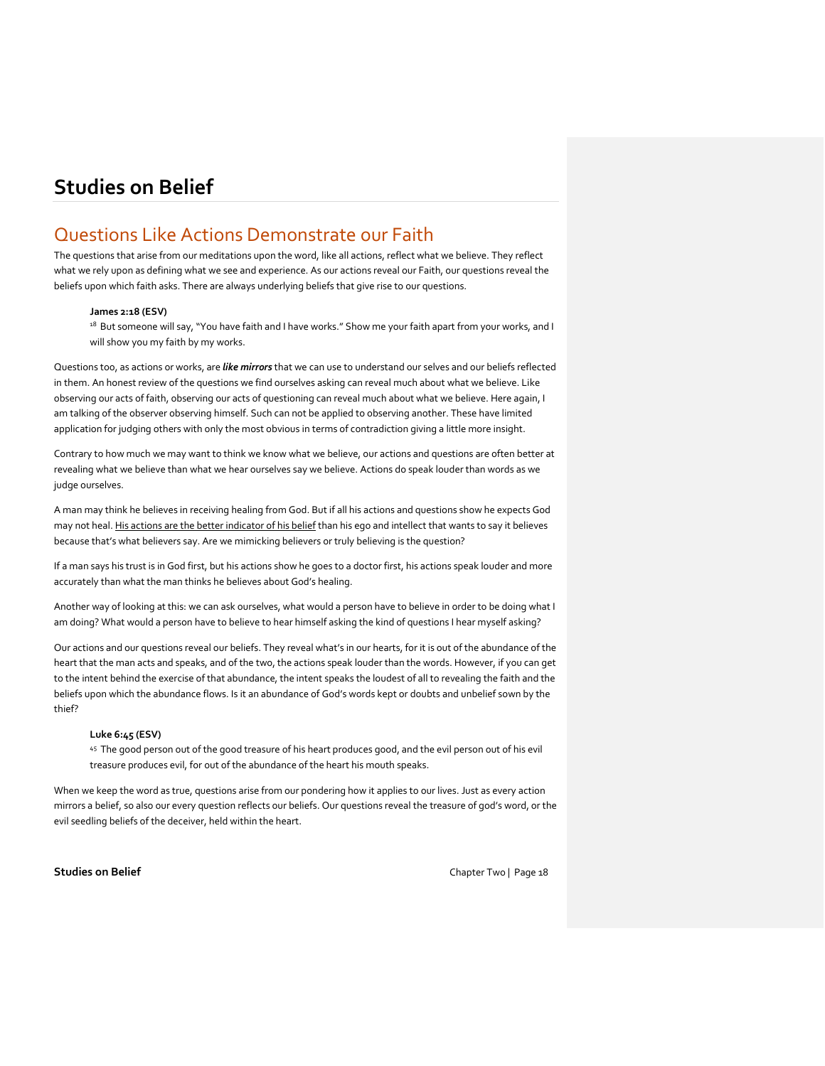# Questions Like Actions Demonstrate our Faith

The questions that arise from our meditations upon the word, like all actions, reflect what we believe. They reflect what we rely upon as defining what we see and experience. As our actions reveal our Faith, our questions reveal the beliefs upon which faith asks. There are always underlying beliefs that give rise to our questions.

#### **James 2:18 (ESV)**

<sup>18</sup> But someone will say, "You have faith and I have works." Show me your faith apart from your works, and I will show you my faith by my works.

Questions too, as actions or works, are *like mirrors* that we can use to understand our selves and our beliefs reflected in them. An honest review of the questions we find ourselves asking can reveal much about what we believe. Like observing our acts of faith, observing our acts of questioning can reveal much about what we believe. Here again, I am talking of the observer observing himself. Such can not be applied to observing another. These have limited application for judging others with only the most obvious in terms of contradiction giving a little more insight.

Contrary to how much we may want to think we know what we believe, our actions and questions are often better at revealing what we believe than what we hear ourselves say we believe. Actions do speak louder than words as we judge ourselves.

A man may think he believes in receiving healing from God. But if all his actions and questions show he expects God may not heal. His actions are the better indicator of his belief than his ego and intellect that wants to say it believes because that's what believers say. Are we mimicking believers or truly believing is the question?

If a man says his trust is in God first, but his actions show he goes to a doctor first, his actions speak louder and more accurately than what the man thinks he believes about God's healing.

Another way of looking at this: we can ask ourselves, what would a person have to believe in order to be doing what I am doing? What would a person have to believe to hear himself asking the kind of questions I hear myself asking?

Our actions and our questions reveal our beliefs. They reveal what's in our hearts, for it is out of the abundance of the heart that the man acts and speaks, and of the two, the actions speak louder than the words. However, if you can get to the intent behind the exercise of that abundance, the intent speaks the loudest of all to revealing the faith and the beliefs upon which the abundance flows. Is it an abundance of God's words kept or doubts and unbelief sown by the thief?

#### **Luke 6:45 (ESV)**

45 The good person out of the good treasure of his heart produces good, and the evil person out of his evil treasure produces evil, for out of the abundance of the heart his mouth speaks.

When we keep the word as true, questions arise from our pondering how it applies to our lives. Just as every action mirrors a belief, so also our every question reflects our beliefs. Our questions reveal the treasure of god's word, or the evil seedling beliefs of the deceiver, held within the heart.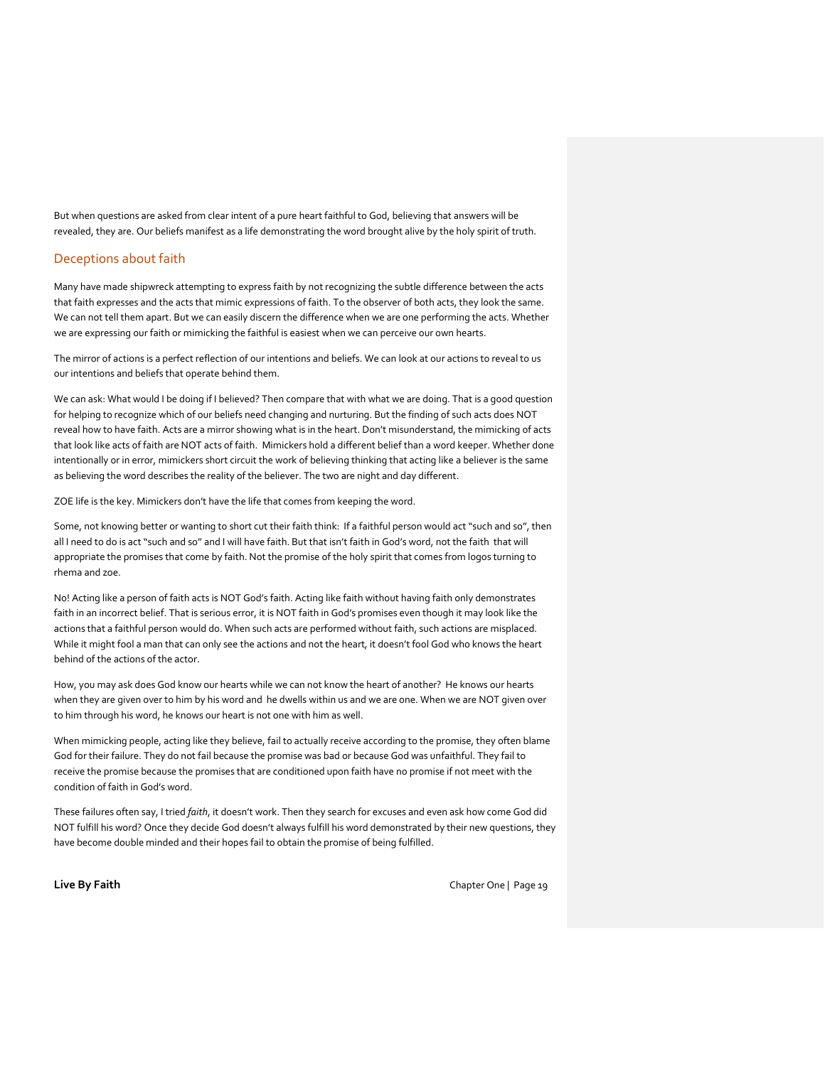But when questions are asked from clear intent of a pure heart faithful to God, believing that answers will be revealed, they are. Our beliefs manifest as a life demonstrating the word brought alive by the holy spirit of truth.

# Deceptions about faith

Many have made shipwreck attempting to express faith by not recognizing the subtle difference between the acts that faith expresses and the acts that mimic expressions of faith. To the observer of both acts, they look the same. We can not tell them apart. But we can easily discern the difference when we are one performing the acts. Whether we are expressing our faith or mimicking the faithful is easiest when we can perceive our own hearts.

The mirror of actions is a perfect reflection of our intentions and beliefs. We can look at our actions to reveal to us our intentions and beliefs that operate behind them.

We can ask: What would I be doing if I believed? Then compare that with what we are doing. That is a good question for helping to recognize which of our beliefs need changing and nurturing. But the finding of such acts does NOT reveal how to have faith. Acts are a mirror showing what is in the heart. Don't misunderstand, the mimicking of acts that look like acts of faith are NOT acts of faith. Mimickers hold a different belief than a word keeper. Whether done intentionally or in error, mimickers short circuit the work of believing thinking that acting like a believer is the same as believing the word describes the reality of the believer. The two are night and day different.

ZOE life is the key. Mimickers don't have the life that comes from keeping the word.

Some, not knowing better or wanting to short cut their faith think: If a faithful person would act "such and so", then all I need to do is act "such and so" and I will have faith. But that isn't faith in God's word, not the faith that will appropriate the promises that come by faith. Not the promise of the holy spirit that comes from logos turning to rhema and zoe.

No! Acting like a person of faith acts is NOT God's faith. Acting like faith without having faith only demonstrates faith in an incorrect belief. That is serious error, it is NOT faith in God's promises even though it may look like the actions that a faithful person would do. When such acts are performed without faith, such actions are misplaced. While it might fool a man that can only see the actions and not the heart, it doesn't fool God who knows the heart behind of the actions of the actor.

How, you may ask does God know our hearts while we can not know the heart of another? He knows our hearts when they are given over to him by his word and he dwells within us and we are one. When we are NOT given over to him through his word, he knows our heart is not one with him as well.

When mimicking people, acting like they believe, fail to actually receive according to the promise, they often blame God for their failure. They do not fail because the promise was bad or because God was unfaithful. They fail to receive the promise because the promises that are conditioned upon faith have no promise if not meet with the condition of faith in God's word.

These failures often say, I tried *faith*, it doesn't work. Then they search for excuses and even ask how come God did NOT fulfill his word? Once they decide God doesn't always fulfill his word demonstrated by their new questions, they have become double minded and their hopes fail to obtain the promise of being fulfilled.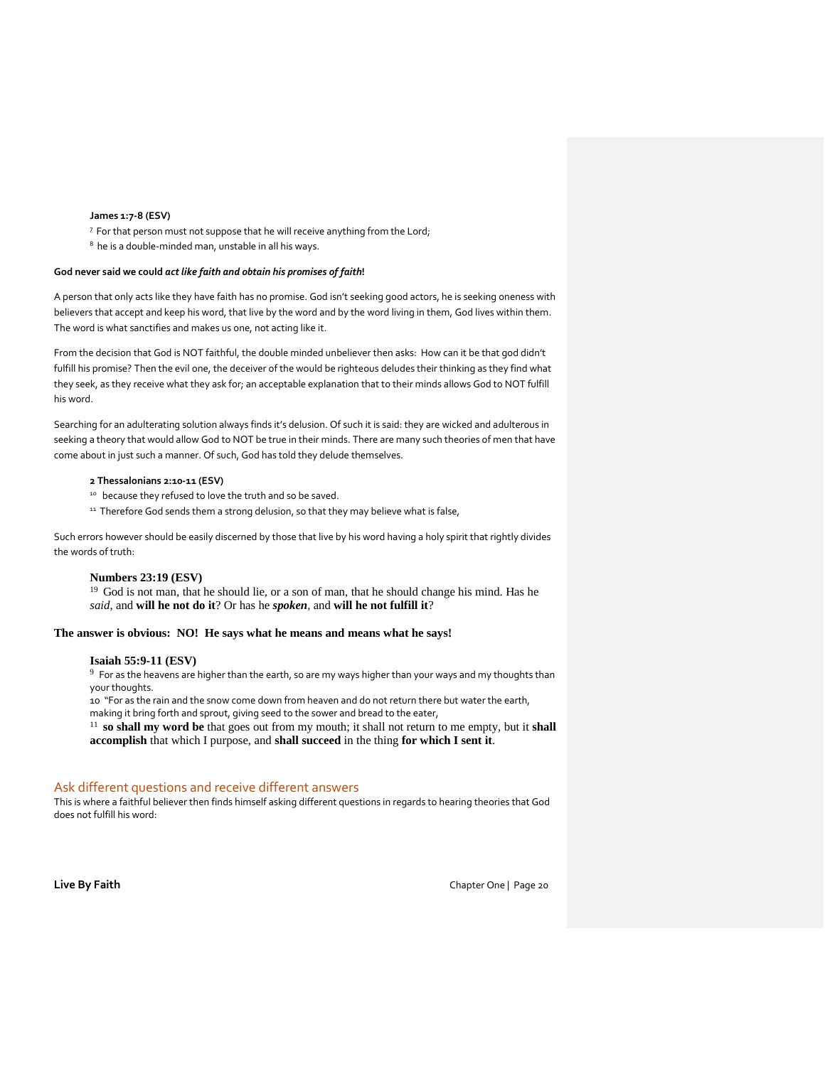### **James 1:7-8 (ESV)**

7 For that person must not suppose that he will receive anything from the Lord;

<sup>8</sup> he is a double-minded man, unstable in all his ways.

#### **God never said we could** *act like faith and obtain his promises of faith***!**

A person that only acts like they have faith has no promise. God isn't seeking good actors, he is seeking oneness with believers that accept and keep his word, that live by the word and by the word living in them, God lives within them. The word is what sanctifies and makes us one, not acting like it.

From the decision that God is NOT faithful, the double minded unbeliever then asks: How can it be that god didn't fulfill his promise? Then the evil one, the deceiver of the would be righteous deludes their thinking as they find what they seek, as they receive what they ask for; an acceptable explanation that to their minds allows God to NOT fulfill his word.

Searching for an adulterating solution always finds it's delusion. Of such it is said: they are wicked and adulterous in seeking a theory that would allow God to NOT be true in their minds. There are many such theories of men that have come about in just such a manner. Of such, God has told they delude themselves.

## **2 Thessalonians 2:10-11 (ESV)**

- <sup>10</sup> because they refused to love the truth and so be saved.
- <sup>11</sup> Therefore God sends them a strong delusion, so that they may believe what is false,

Such errors however should be easily discerned by those that live by his word having a holy spirit that rightly divides the words of truth:

#### **Numbers 23:19 (ESV)**

<sup>19</sup> God is not man, that he should lie, or a son of man, that he should change his mind. Has he *said*, and **will he not do it**? Or has he *spoken*, and **will he not fulfill it**?

#### **The answer is obvious: NO! He says what he means and means what he says!**

#### **Isaiah 55:9-11 (ESV)**

 $9$  For as the heavens are higher than the earth, so are my ways higher than your ways and my thoughts than your thoughts.

10 "For as the rain and the snow come down from heaven and do not return there but water the earth, making it bring forth and sprout, giving seed to the sower and bread to the eater,

<sup>11</sup>**so shall my word be** that goes out from my mouth; it shall not return to me empty, but it **shall accomplish** that which I purpose, and **shall succeed** in the thing **for which I sent it**.

### Ask different questions and receive different answers

This is where a faithful believer then finds himself asking different questions in regards to hearing theories that God does not fulfill his word: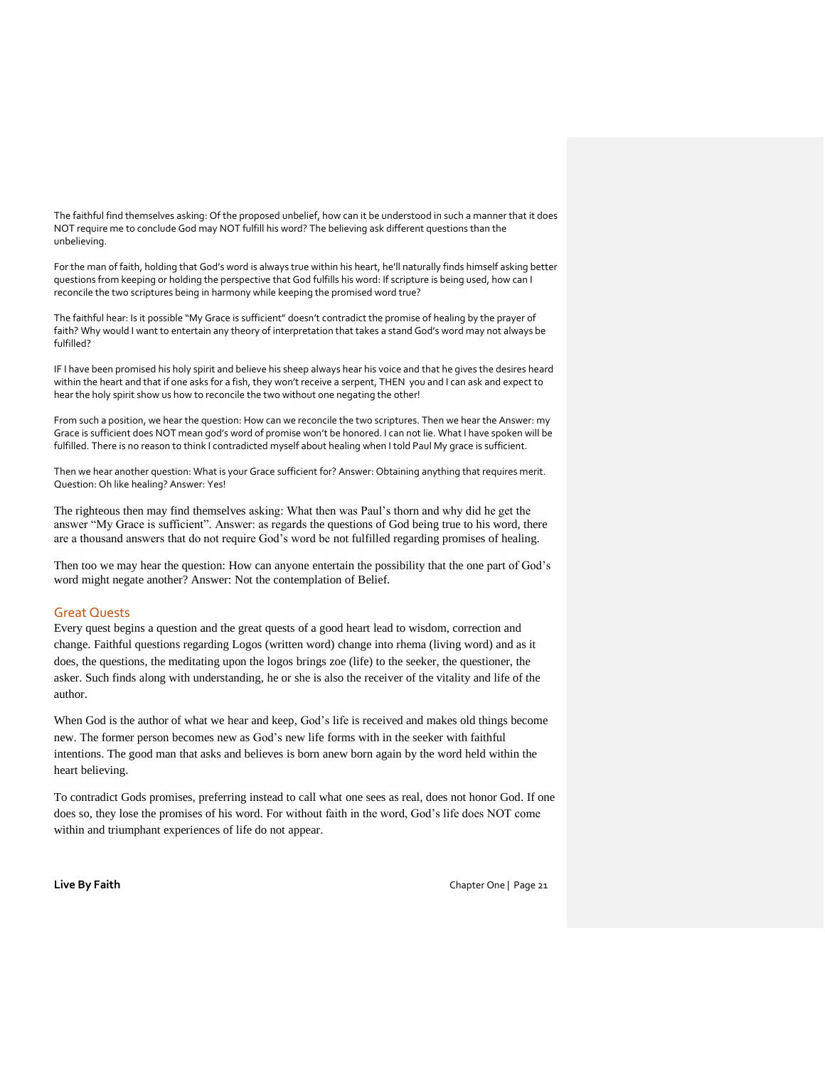The faithful find themselves asking: Of the proposed unbelief, how can it be understood in such a manner that it does NOT require me to conclude God may NOT fulfill his word? The believing ask different questions than the unbelieving.

For the man of faith, holding that God's word is always true within his heart, he'll naturally finds himself asking better questions from keeping or holding the perspective that God fulfills his word: If scripture is being used, how can I reconcile the two scriptures being in harmony while keeping the promised word true?

The faithful hear: Is it possible "My Grace is sufficient" doesn't contradict the promise of healing by the prayer of faith? Why would I want to entertain any theory of interpretation that takes a stand God's word may not always be fulfilled?

IF I have been promised his holy spirit and believe his sheep always hear his voice and that he gives the desires heard within the heart and that if one asks for a fish, they won't receive a serpent, THEN you and I can ask and expect to hear the holy spirit show us how to reconcile the two without one negating the other!

From such a position, we hear the question: How can we reconcile the two scriptures. Then we hear the Answer: my Grace is sufficient does NOT mean god's word of promise won't be honored. I can not lie. What I have spoken will be fulfilled. There is no reason to think I contradicted myself about healing when I told Paul My grace is sufficient.

Then we hear another question: What is your Grace sufficient for? Answer: Obtaining anything that requires merit. Question: Oh like healing? Answer: Yes!

The righteous then may find themselves asking: What then was Paul's thorn and why did he get the answer "My Grace is sufficient". Answer: as regards the questions of God being true to his word, there are a thousand answers that do not require God's word be not fulfilled regarding promises of healing.

Then too we may hear the question: How can anyone entertain the possibility that the one part of God's word might negate another? Answer: Not the contemplation of Belief.

## Great Quests

Every quest begins a question and the great quests of a good heart lead to wisdom, correction and change. Faithful questions regarding Logos (written word) change into rhema (living word) and as it does, the questions, the meditating upon the logos brings zoe (life) to the seeker, the questioner, the asker. Such finds along with understanding, he or she is also the receiver of the vitality and life of the author.

When God is the author of what we hear and keep, God's life is received and makes old things become new. The former person becomes new as God's new life forms with in the seeker with faithful intentions. The good man that asks and believes is born anew born again by the word held within the heart believing.

To contradict Gods promises, preferring instead to call what one sees as real, does not honor God. If one does so, they lose the promises of his word. For without faith in the word, God's life does NOT come within and triumphant experiences of life do not appear.

**Live By Faith** Chapter One | Page 21 Chapter One | Page 21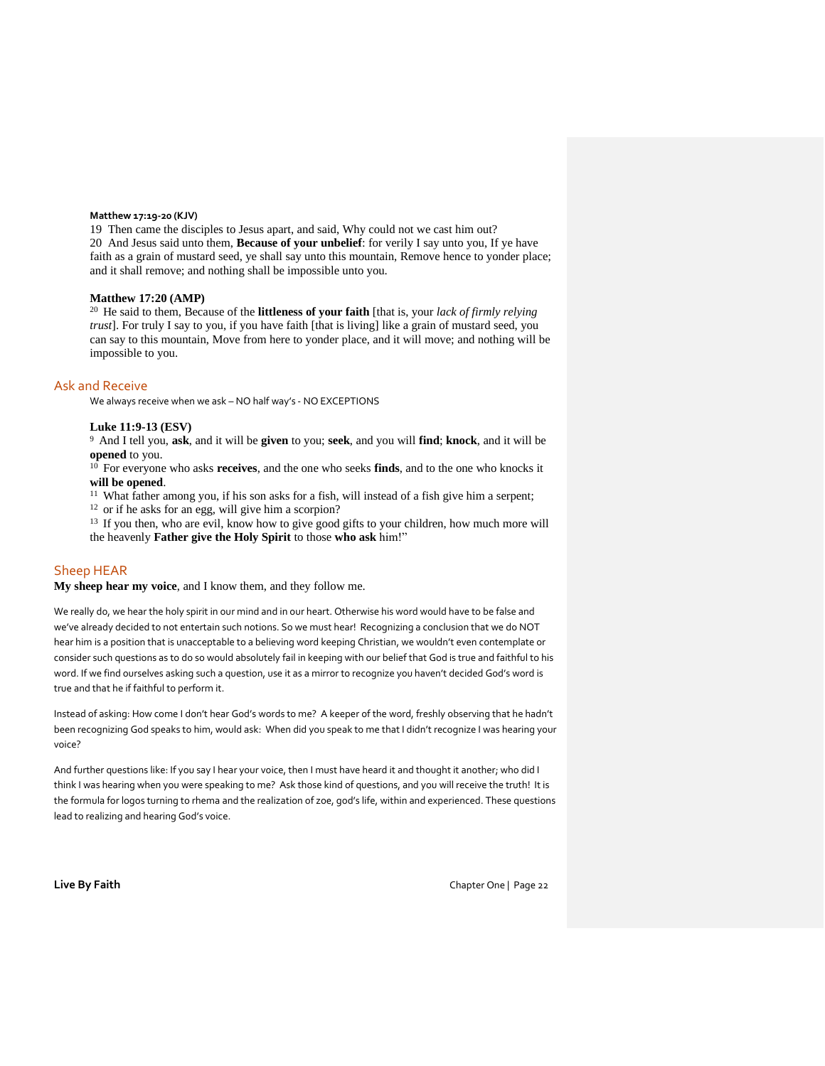## **Matthew 17:19-20 (KJV)**

19 Then came the disciples to Jesus apart, and said, Why could not we cast him out? 20 And Jesus said unto them, **Because of your unbelief**: for verily I say unto you, If ye have faith as a grain of mustard seed, ye shall say unto this mountain, Remove hence to yonder place; and it shall remove; and nothing shall be impossible unto you.

#### **Matthew 17:20 (AMP)**

<sup>20</sup> He said to them, Because of the **littleness of your faith** [that is, your *lack of firmly relying trust*]. For truly I say to you, if you have faith [that is living] like a grain of mustard seed, you can say to this mountain, Move from here to yonder place, and it will move; and nothing will be impossible to you.

### Ask and Receive

We always receive when we ask – NO half way's - NO EXCEPTIONS

### **Luke 11:9-13 (ESV)**

<sup>9</sup>And I tell you, **ask**, and it will be **given** to you; **seek**, and you will **find**; **knock**, and it will be **opened** to you.

<sup>10</sup> For everyone who asks **receives**, and the one who seeks **finds**, and to the one who knocks it **will be opened**.

<sup>11</sup> What father among you, if his son asks for a fish, will instead of a fish give him a serpent;

<sup>12</sup> or if he asks for an egg, will give him a scorpion?

<sup>13</sup> If you then, who are evil, know how to give good gifts to your children, how much more will the heavenly **Father give the Holy Spirit** to those **who ask** him!"

#### Sheep HEAR

**My sheep hear my voice**, and I know them, and they follow me.

We really do, we hear the holy spirit in our mind and in our heart. Otherwise his word would have to be false and we've already decided to not entertain such notions. So we must hear! Recognizing a conclusion that we do NOT hear him is a position that is unacceptable to a believing word keeping Christian, we wouldn't even contemplate or consider such questions as to do so would absolutely fail in keeping with our belief that God is true and faithful to his word. If we find ourselves asking such a question, use it as a mirror to recognize you haven't decided God's word is true and that he if faithful to perform it.

Instead of asking: How come I don't hear God's words to me? A keeper of the word, freshly observing that he hadn't been recognizing God speaks to him, would ask: When did you speak to me that I didn't recognize I was hearing your voice?

And further questions like: If you say I hear your voice, then I must have heard it and thought it another; who did I think I was hearing when you were speaking to me? Ask those kind of questions, and you will receive the truth! It is the formula for logos turning to rhema and the realization of zoe, god's life, within and experienced. These questions lead to realizing and hearing God's voice.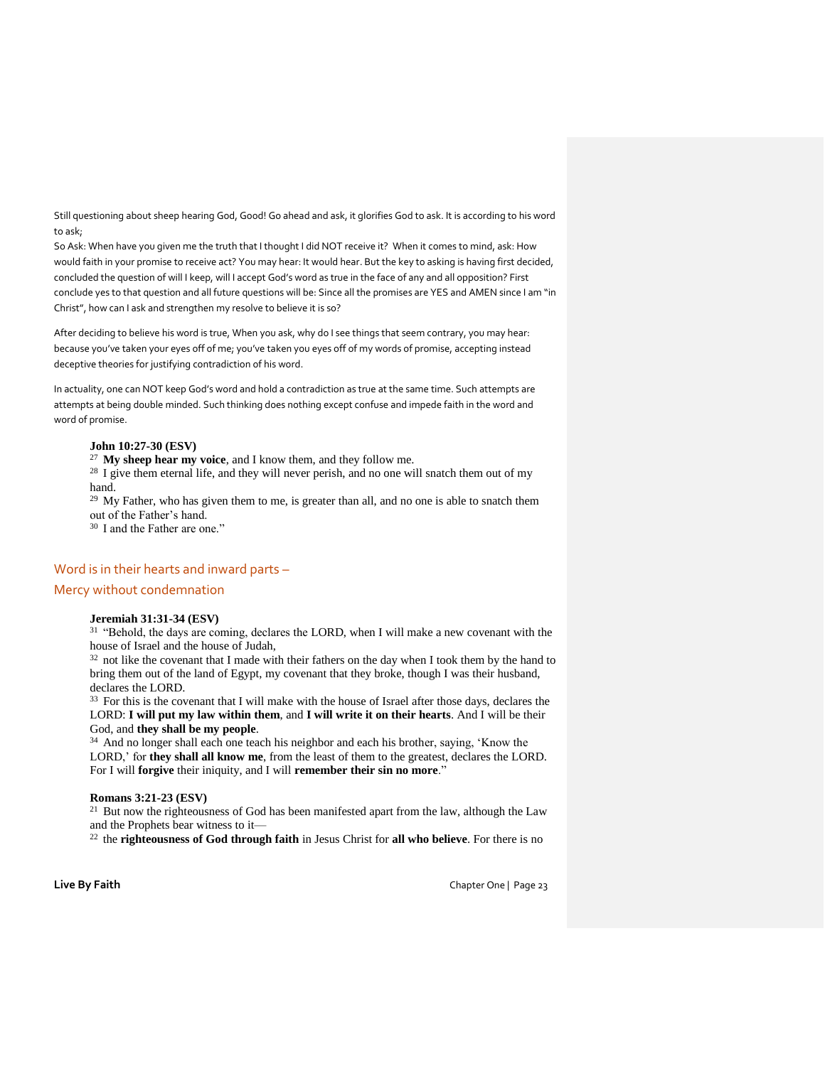Still questioning about sheep hearing God, Good! Go ahead and ask, it glorifies God to ask. It is according to his word to ask;

So Ask: When have you given me the truth that I thought I did NOT receive it? When it comes to mind, ask: How would faith in your promise to receive act? You may hear: It would hear. But the key to asking is having first decided, concluded the question of will I keep, will I accept God's word as true in the face of any and all opposition? First conclude yes to that question and all future questions will be: Since all the promises are YES and AMEN since I am "in Christ", how can I ask and strengthen my resolve to believe it is so?

After deciding to believe his word is true, When you ask, why do I see things that seem contrary, you may hear: because you've taken your eyes off of me; you've taken you eyes off of my words of promise, accepting instead deceptive theories for justifying contradiction of his word.

In actuality, one can NOT keep God's word and hold a contradiction as true at the same time. Such attempts are attempts at being double minded. Such thinking does nothing except confuse and impede faith in the word and word of promise.

# **John 10:27-30 (ESV)**

<sup>27</sup>**My sheep hear my voice**, and I know them, and they follow me.

<sup>28</sup> I give them eternal life, and they will never perish, and no one will snatch them out of my hand.

 $29$  My Father, who has given them to me, is greater than all, and no one is able to snatch them out of the Father's hand.

<sup>30</sup> I and the Father are one."

# Word is in their hearts and inward parts –

## Mercy without condemnation

# **Jeremiah 31:31-34 (ESV)**

 $31$  "Behold, the days are coming, declares the LORD, when I will make a new covenant with the house of Israel and the house of Judah,

<sup>32</sup> not like the covenant that I made with their fathers on the day when I took them by the hand to bring them out of the land of Egypt, my covenant that they broke, though I was their husband, declares the LORD.

<sup>33</sup> For this is the covenant that I will make with the house of Israel after those days, declares the LORD: **I will put my law within them**, and **I will write it on their hearts**. And I will be their God, and **they shall be my people**.

<sup>34</sup> And no longer shall each one teach his neighbor and each his brother, saying, 'Know the LORD,' for **they shall all know me**, from the least of them to the greatest, declares the LORD. For I will **forgive** their iniquity, and I will **remember their sin no more**."

## **Romans 3:21-23 (ESV)**

<sup>21</sup> But now the righteousness of God has been manifested apart from the law, although the Law and the Prophets bear witness to it—

<sup>22</sup> the **righteousness of God through faith** in Jesus Christ for **all who believe**. For there is no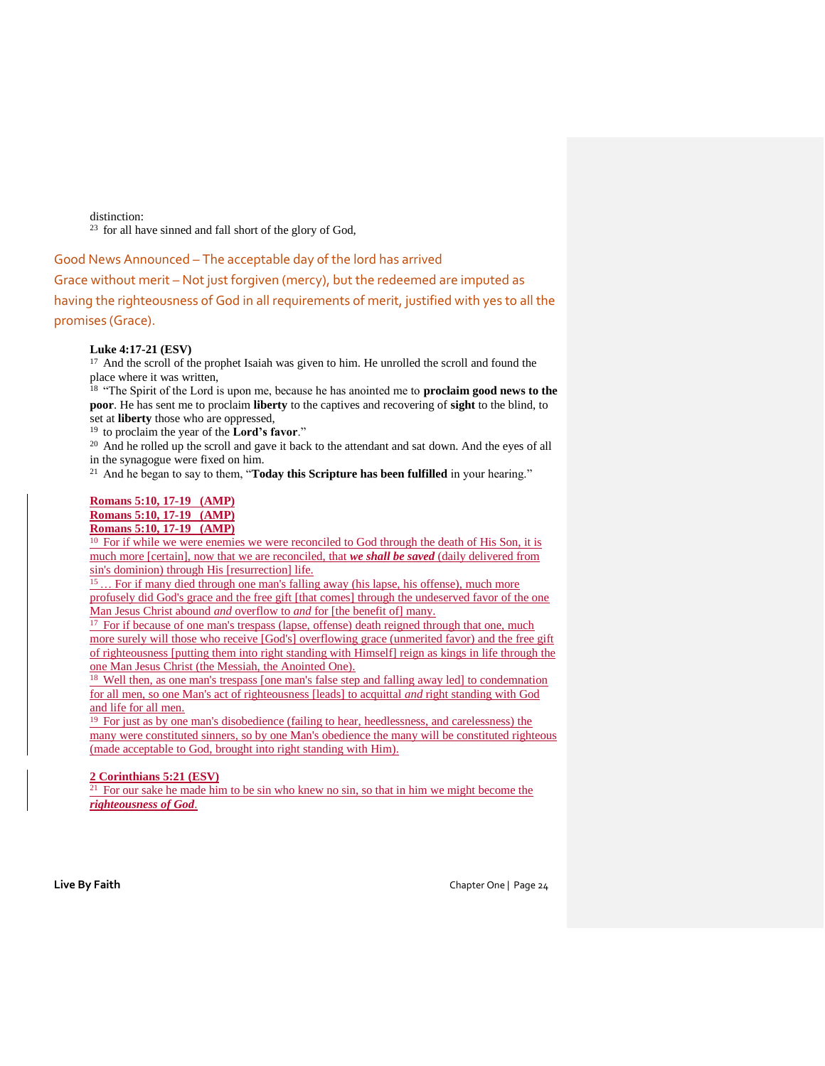distinction:

 $23$  for all have sinned and fall short of the glory of God,

Good News Announced – The acceptable day of the lord has arrived Grace without merit – Not just forgiven (mercy), but the redeemed are imputed as having the righteousness of God in all requirements of merit, justified with yes to all the promises (Grace).

# **Luke 4:17-21 (ESV)**

<sup>17</sup> And the scroll of the prophet Isaiah was given to him. He unrolled the scroll and found the place where it was written,

<sup>18</sup>"The Spirit of the Lord is upon me, because he has anointed me to **proclaim good news to the poor**. He has sent me to proclaim **liberty** to the captives and recovering of **sight** to the blind, to set at **liberty** those who are oppressed,

<sup>19</sup> to proclaim the year of the **Lord's favor**."

<sup>20</sup> And he rolled up the scroll and gave it back to the attendant and sat down. And the eyes of all in the synagogue were fixed on him.

<sup>21</sup> And he began to say to them, "**Today this Scripture has been fulfilled** in your hearing."

## **Romans 5:10, 17-19 (AMP)**

**Romans 5:10, 17-19 (AMP)** 

**Romans 5:10, 17-19 (AMP)** 

<sup>10</sup> For if while we were enemies we were reconciled to God through the death of His Son, it is much more [certain], now that we are reconciled, that *we shall be saved* (daily delivered from sin's dominion) through His [resurrection] life.

<sup>15</sup>… For if many died through one man's falling away (his lapse, his offense), much more profusely did God's grace and the free gift [that comes] through the undeserved favor of the one Man Jesus Christ abound *and* overflow to *and* for [the benefit of] many.

<sup>17</sup> For if because of one man's trespass (lapse, offense) death reigned through that one, much more surely will those who receive [God's] overflowing grace (unmerited favor) and the free gift of righteousness [putting them into right standing with Himself] reign as kings in life through the one Man Jesus Christ (the Messiah, the Anointed One).

<sup>18</sup> Well then, as one man's trespass [one man's false step and falling away led] to condemnation for all men, so one Man's act of righteousness [leads] to acquittal *and* right standing with God and life for all men.

 $19$  For just as by one man's disobedience (failing to hear, heedlessness, and carelessness) the many were constituted sinners, so by one Man's obedience the many will be constituted righteous (made acceptable to God, brought into right standing with Him).

# **2 Corinthians 5:21 (ESV)**

 $21$  For our sake he made him to be sin who knew no sin, so that in him we might become the *righteousness of God*.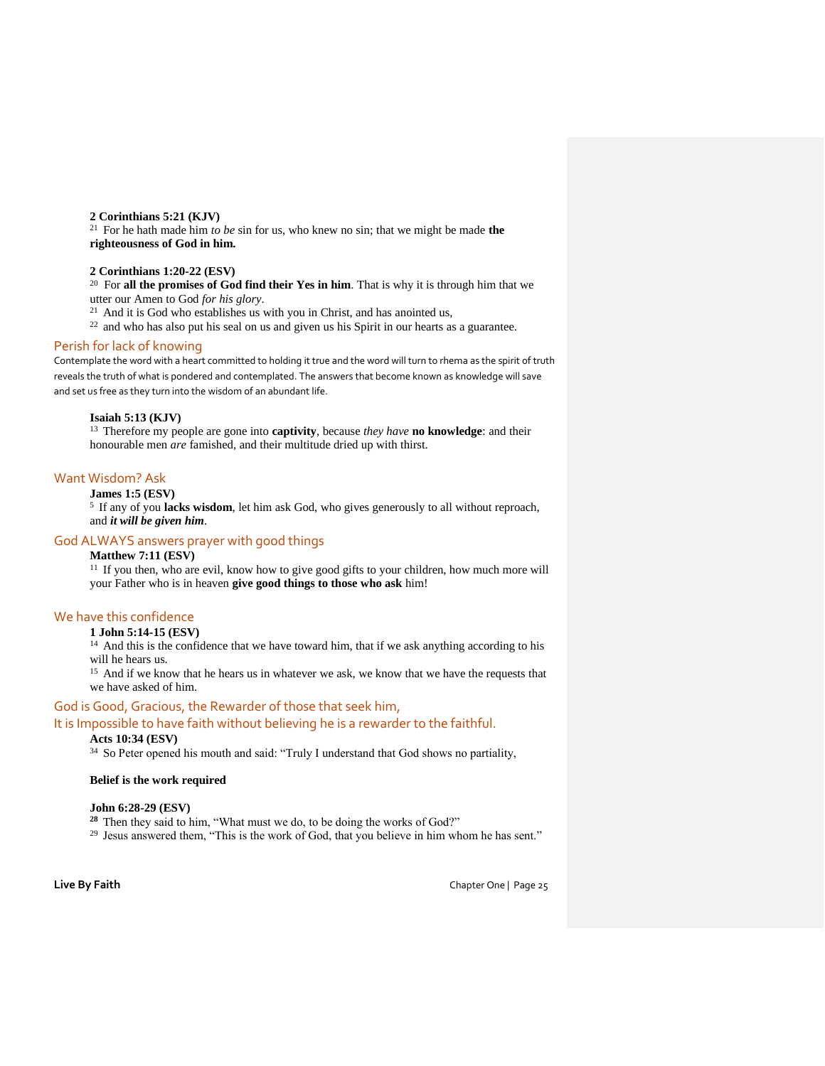# **2 Corinthians 5:21 (KJV)**

<sup>21</sup> For he hath made him *to be* sin for us, who knew no sin; that we might be made **the righteousness of God in him.**

# **2 Corinthians 1:20-22 (ESV)**

<sup>20</sup> For **all the promises of God find their Yes in him**. That is why it is through him that we utter our Amen to God *for his glory*.

 $21$  And it is God who establishes us with you in Christ, and has anointed us,

<sup>22</sup> and who has also put his seal on us and given us his Spirit in our hearts as a guarantee.

# Perish for lack of knowing

Contemplate the word with a heart committed to holding it true and the word will turn to rhema as the spirit of truth reveals the truth of what is pondered and contemplated. The answers that become known as knowledge will save and set us free as they turn into the wisdom of an abundant life.

# **Isaiah 5:13 (KJV)**

<sup>13</sup>Therefore my people are gone into **captivity**, because *they have* **no knowledge**: and their honourable men *are* famished, and their multitude dried up with thirst.

# Want Wisdom? Ask

# **James 1:5 (ESV)**

<sup>5</sup>If any of you **lacks wisdom**, let him ask God, who gives generously to all without reproach, and *it will be given him*.

# God ALWAYS answers prayer with good things

# **Matthew 7:11 (ESV)**

<sup>11</sup> If you then, who are evil, know how to give good gifts to your children, how much more will your Father who is in heaven **give good things to those who ask** him!

# We have this confidence

# **1 John 5:14-15 (ESV)**

<sup>14</sup> And this is the confidence that we have toward him, that if we ask anything according to his will he hears us.

<sup>15</sup> And if we know that he hears us in whatever we ask, we know that we have the requests that we have asked of him.

# God is Good, Gracious, the Rewarder of those that seek him,

# It is Impossible to have faith without believing he is a rewarder to the faithful.

# **Acts 10:34 (ESV)**

<sup>34</sup> So Peter opened his mouth and said: "Truly I understand that God shows no partiality,

#### **Belief is the work required**

## **John 6:28-29 (ESV)**

<sup>28</sup> Then they said to him, "What must we do, to be doing the works of God?"

29 Jesus answered them, "This is the work of God, that you believe in him whom he has sent."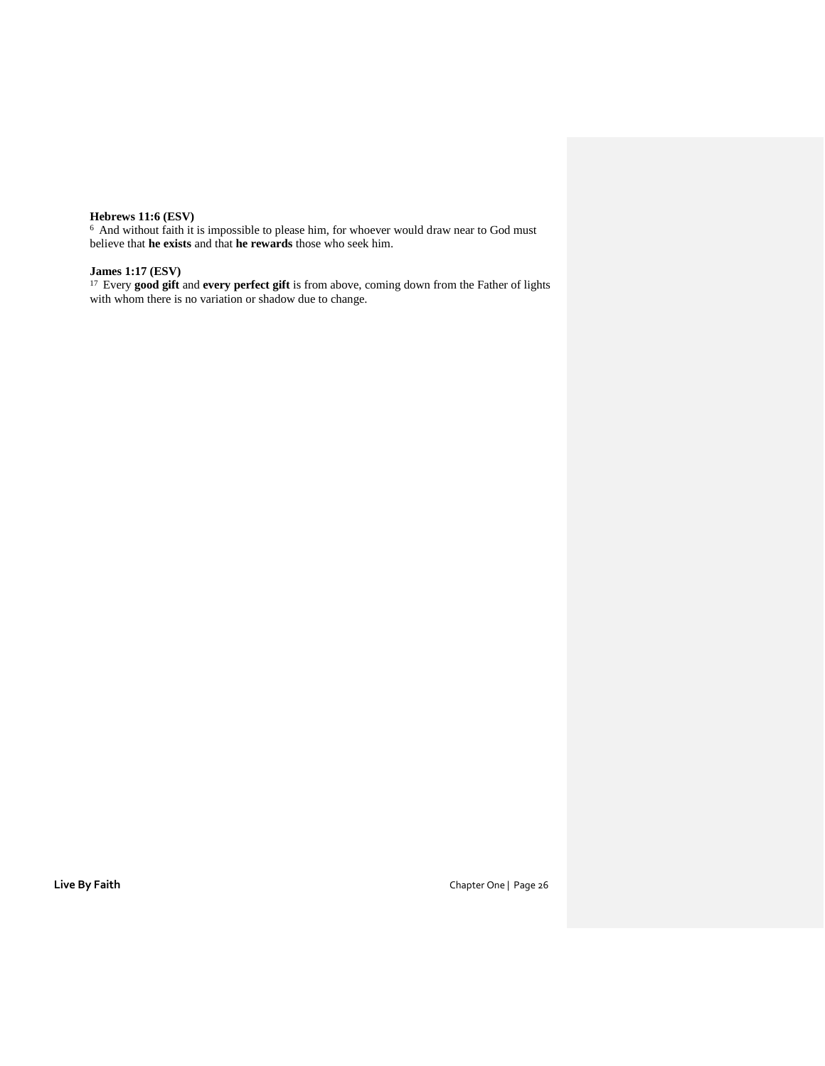# **Hebrews 11:6 (ESV)**

 $6$  And without faith it is impossible to please him, for whoever would draw near to God must believe that **he exists** and that **he rewards** those who seek him.

# **James 1:17 (ESV)**

<sup>17</sup> Every good gift and every perfect gift is from above, coming down from the Father of lights with whom there is no variation or shadow due to change.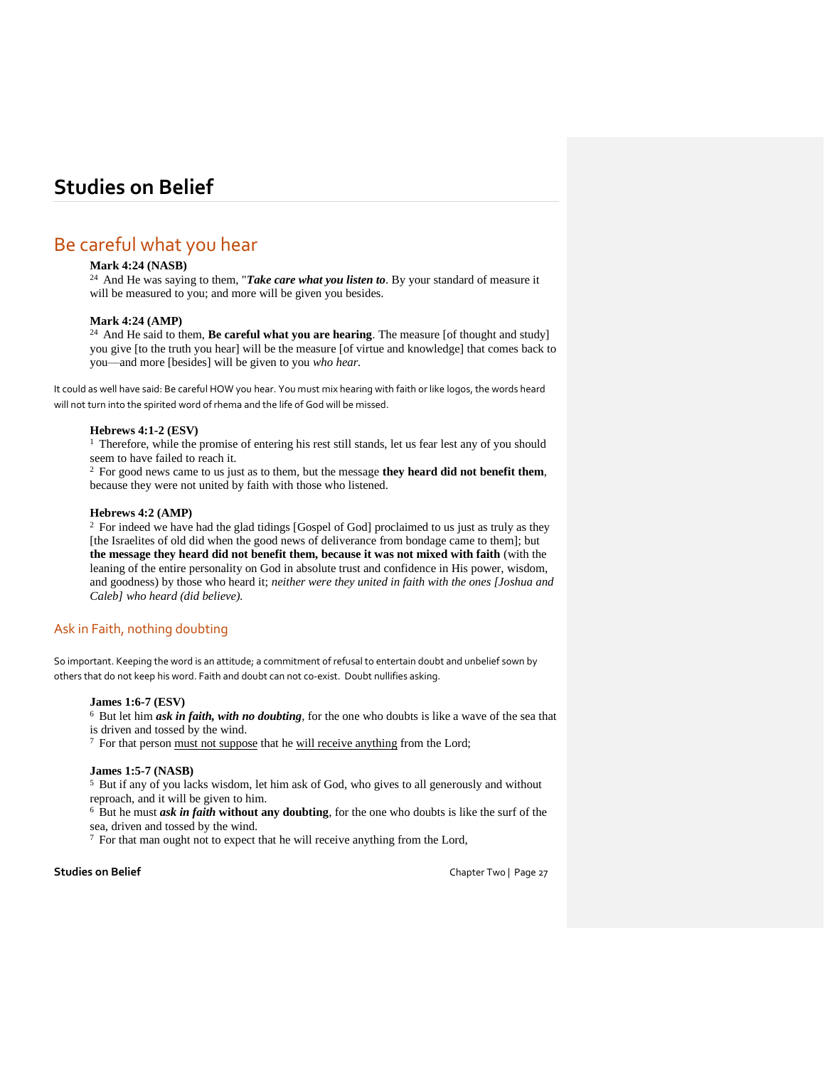# Be careful what you hear

# **Mark 4:24 (NASB)**

<sup>24</sup> And He was saying to them, "*Take care what you listen to*. By your standard of measure it will be measured to you; and more will be given you besides.

# **Mark 4:24 (AMP)**

<sup>24</sup>And He said to them, **Be careful what you are hearing**. The measure [of thought and study] you give [to the truth you hear] will be the measure [of virtue and knowledge] that comes back to you—and more [besides] will be given to you *who hear.*

It could as well have said: Be careful HOW you hear. You must mix hearing with faith or like logos, the words heard will not turn into the spirited word of rhema and the life of God will be missed.

# **Hebrews 4:1-2 (ESV)**

<sup>1</sup> Therefore, while the promise of entering his rest still stands, let us fear lest any of you should seem to have failed to reach it.

<sup>2</sup>For good news came to us just as to them, but the message **they heard did not benefit them**, because they were not united by faith with those who listened.

#### **Hebrews 4:2 (AMP)**

<sup>2</sup> For indeed we have had the glad tidings [Gospel of God] proclaimed to us just as truly as they [the Israelites of old did when the good news of deliverance from bondage came to them]; but **the message they heard did not benefit them, because it was not mixed with faith** (with the leaning of the entire personality on God in absolute trust and confidence in His power, wisdom, and goodness) by those who heard it; *neither were they united in faith with the ones [Joshua and Caleb] who heard (did believe).*

# Ask in Faith, nothing doubting

So important. Keeping the word is an attitude; a commitment of refusal to entertain doubt and unbelief sown by others that do not keep his word. Faith and doubt can not co-exist. Doubt nullifies asking.

#### **James 1:6-7 (ESV)**

<sup>6</sup> But let him *ask in faith, with no doubting*, for the one who doubts is like a wave of the sea that

is driven and tossed by the wind.

<sup>7</sup> For that person must not suppose that he will receive anything from the Lord;

# **James 1:5-7 (NASB)**

<sup>5</sup> But if any of you lacks wisdom, let him ask of God, who gives to all generously and without reproach, and it will be given to him.

<sup>6</sup> But he must *ask in faith* without any doubting, for the one who doubts is like the surf of the sea, driven and tossed by the wind.

7 For that man ought not to expect that he will receive anything from the Lord,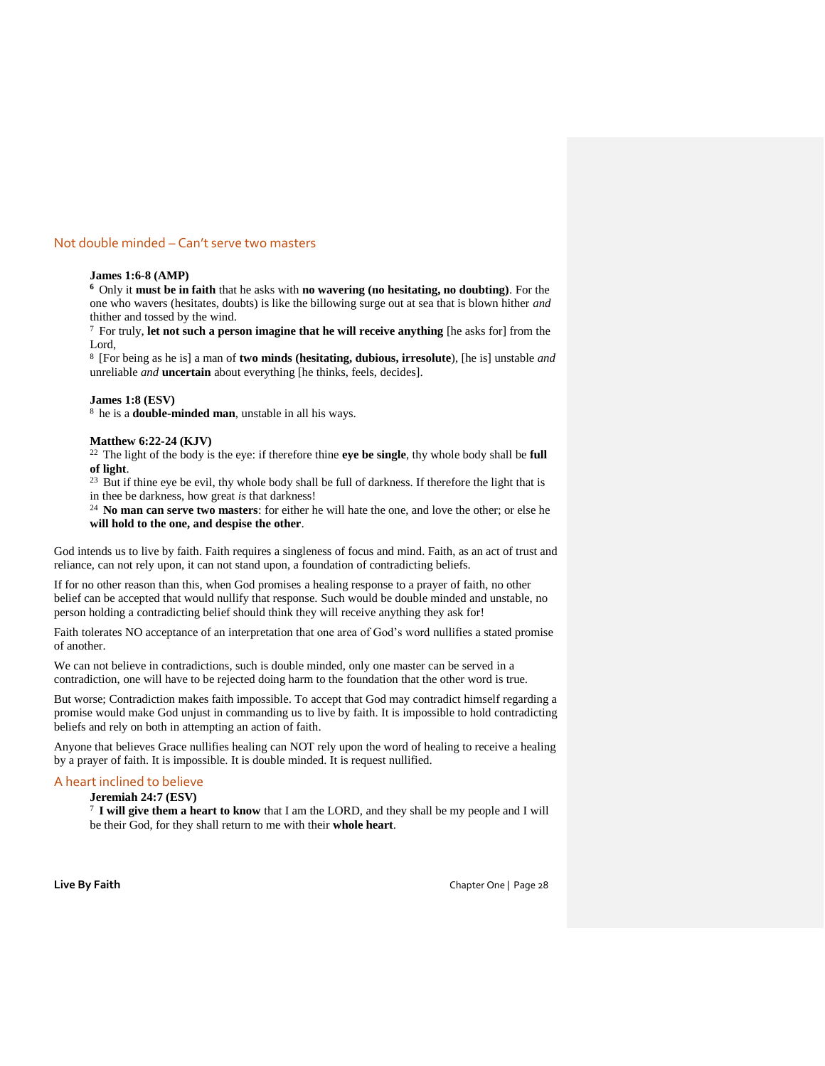# Not double minded – Can't serve two masters

## **James 1:6-8 (AMP)**

**<sup>6</sup>**Only it **must be in faith** that he asks with **no wavering (no hesitating, no doubting)**. For the one who wavers (hesitates, doubts) is like the billowing surge out at sea that is blown hither *and* thither and tossed by the wind.

<sup>7</sup>For truly, **let not such a person imagine that he will receive anything** [he asks for] from the Lord<sub>,</sub>

<sup>8</sup>[For being as he is] a man of **two minds (hesitating, dubious, irresolute**), [he is] unstable *and* unreliable *and* **uncertain** about everything [he thinks, feels, decides].

#### **James 1:8 (ESV)**

<sup>8</sup> he is a **double-minded man**, unstable in all his ways.

#### **Matthew 6:22-24 (KJV)**

<sup>22</sup>The light of the body is the eye: if therefore thine **eye be single**, thy whole body shall be **full of light**.

<sup>23</sup> But if thine eye be evil, thy whole body shall be full of darkness. If therefore the light that is in thee be darkness, how great *is* that darkness!

<sup>24</sup>**No man can serve two masters**: for either he will hate the one, and love the other; or else he **will hold to the one, and despise the other**.

God intends us to live by faith. Faith requires a singleness of focus and mind. Faith, as an act of trust and reliance, can not rely upon, it can not stand upon, a foundation of contradicting beliefs.

If for no other reason than this, when God promises a healing response to a prayer of faith, no other belief can be accepted that would nullify that response. Such would be double minded and unstable, no person holding a contradicting belief should think they will receive anything they ask for!

Faith tolerates NO acceptance of an interpretation that one area of God's word nullifies a stated promise of another.

We can not believe in contradictions, such is double minded, only one master can be served in a contradiction, one will have to be rejected doing harm to the foundation that the other word is true.

But worse; Contradiction makes faith impossible. To accept that God may contradict himself regarding a promise would make God unjust in commanding us to live by faith. It is impossible to hold contradicting beliefs and rely on both in attempting an action of faith.

Anyone that believes Grace nullifies healing can NOT rely upon the word of healing to receive a healing by a prayer of faith. It is impossible. It is double minded. It is request nullified.

# A heart inclined to believe

**Jeremiah 24:7 (ESV)** 

<sup>7</sup>**I will give them a heart to know** that I am the LORD, and they shall be my people and I will be their God, for they shall return to me with their **whole heart**.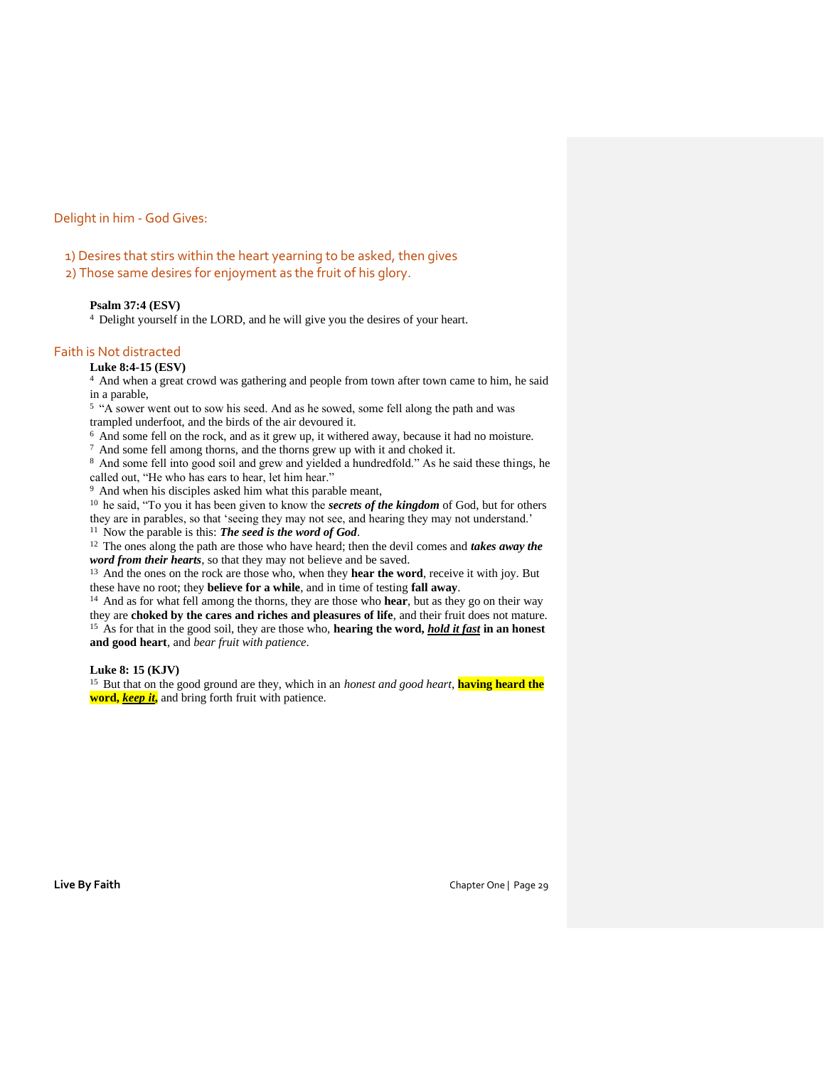# Delight in him - God Gives:

1) Desires that stirs within the heart yearning to be asked, then gives

2) Those same desires for enjoyment as the fruit of his glory.

## **Psalm 37:4 (ESV)**

<sup>4</sup> Delight yourself in the LORD, and he will give you the desires of your heart.

# Faith is Not distracted

## **Luke 8:4-15 (ESV)**

<sup>4</sup>And when a great crowd was gathering and people from town after town came to him, he said in a parable,

<sup>5</sup> "A sower went out to sow his seed. And as he sowed, some fell along the path and was trampled underfoot, and the birds of the air devoured it.

<sup>6</sup> And some fell on the rock, and as it grew up, it withered away, because it had no moisture.

<sup>7</sup>And some fell among thorns, and the thorns grew up with it and choked it.

8 And some fell into good soil and grew and yielded a hundredfold." As he said these things, he called out, "He who has ears to hear, let him hear."

<sup>9</sup> And when his disciples asked him what this parable meant,

<sup>10</sup> he said, "To you it has been given to know the *secrets of the kingdom* of God, but for others they are in parables, so that 'seeing they may not see, and hearing they may not understand.'

<sup>11</sup> Now the parable is this: **The seed is the word of God**.

<sup>12</sup> The ones along the path are those who have heard; then the devil comes and *takes away the word from their hearts*, so that they may not believe and be saved.

<sup>13</sup> And the ones on the rock are those who, when they **hear the word**, receive it with joy. But these have no root; they **believe for a while**, and in time of testing **fall away**.

<sup>14</sup>And as for what fell among the thorns, they are those who **hear**, but as they go on their way they are **choked by the cares and riches and pleasures of life**, and their fruit does not mature. <sup>15</sup>As for that in the good soil, they are those who, **hearing the word,** *hold it fast* **in an honest** 

**and good heart**, and *bear fruit with patience*.

## **Luke 8: 15 (KJV)**

<sup>15</sup> But that on the good ground are they, which in an *honest and good heart*, **having heard the word,** *keep it***,** and bring forth fruit with patience.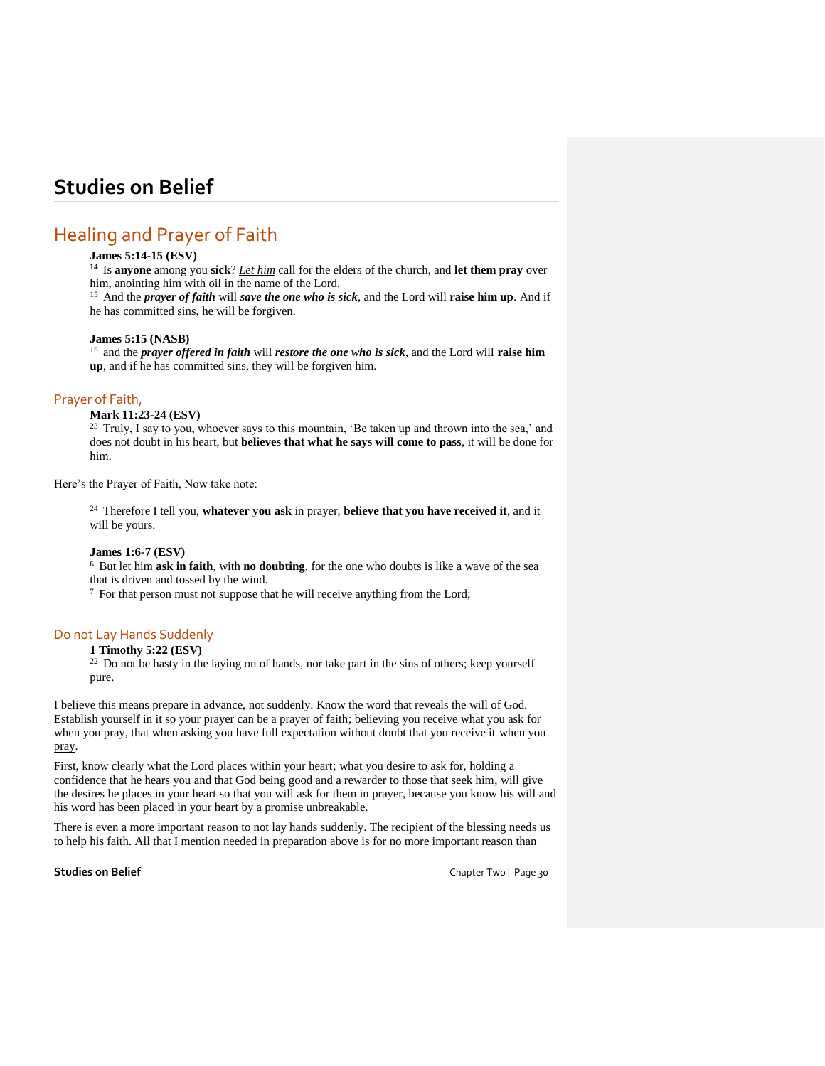# Healing and Prayer of Faith

# **James 5:14-15 (ESV)**

**<sup>14</sup>**Is **anyone** among you **sick**? *Let him* call for the elders of the church, and **let them pray** over him, anointing him with oil in the name of the Lord.

<sup>15</sup> And the *prayer of faith* will *save the one who is sick*, and the Lord will **raise him up**. And if he has committed sins, he will be forgiven.

## **James 5:15 (NASB)**

<sup>15</sup> and the *prayer offered in faith* will *restore the one who is sick*, and the Lord will **raise him up**, and if he has committed sins, they will be forgiven him.

# Prayer of Faith,

# **Mark 11:23-24 (ESV)**

<sup>23</sup> Truly, I say to you, whoever says to this mountain, 'Be taken up and thrown into the sea,' and does not doubt in his heart, but **believes that what he says will come to pass**, it will be done for him.

Here's the Prayer of Faith, Now take note:

<sup>24</sup>Therefore I tell you, **whatever you ask** in prayer, **believe that you have received it**, and it will be yours.

### **James 1:6-7 (ESV)**

<sup>6</sup> But let him **ask in faith**, with **no doubting**, for the one who doubts is like a wave of the sea that is driven and tossed by the wind.

 $7$  For that person must not suppose that he will receive anything from the Lord;

## Do not Lay Hands Suddenly

## **1 Timothy 5:22 (ESV)**

<sup>22</sup> Do not be hasty in the laying on of hands, nor take part in the sins of others; keep yourself pure.

I believe this means prepare in advance, not suddenly. Know the word that reveals the will of God. Establish yourself in it so your prayer can be a prayer of faith; believing you receive what you ask for when you pray, that when asking you have full expectation without doubt that you receive it when you pray.

First, know clearly what the Lord places within your heart; what you desire to ask for, holding a confidence that he hears you and that God being good and a rewarder to those that seek him, will give the desires he places in your heart so that you will ask for them in prayer, because you know his will and his word has been placed in your heart by a promise unbreakable.

There is even a more important reason to not lay hands suddenly. The recipient of the blessing needs us to help his faith. All that I mention needed in preparation above is for no more important reason than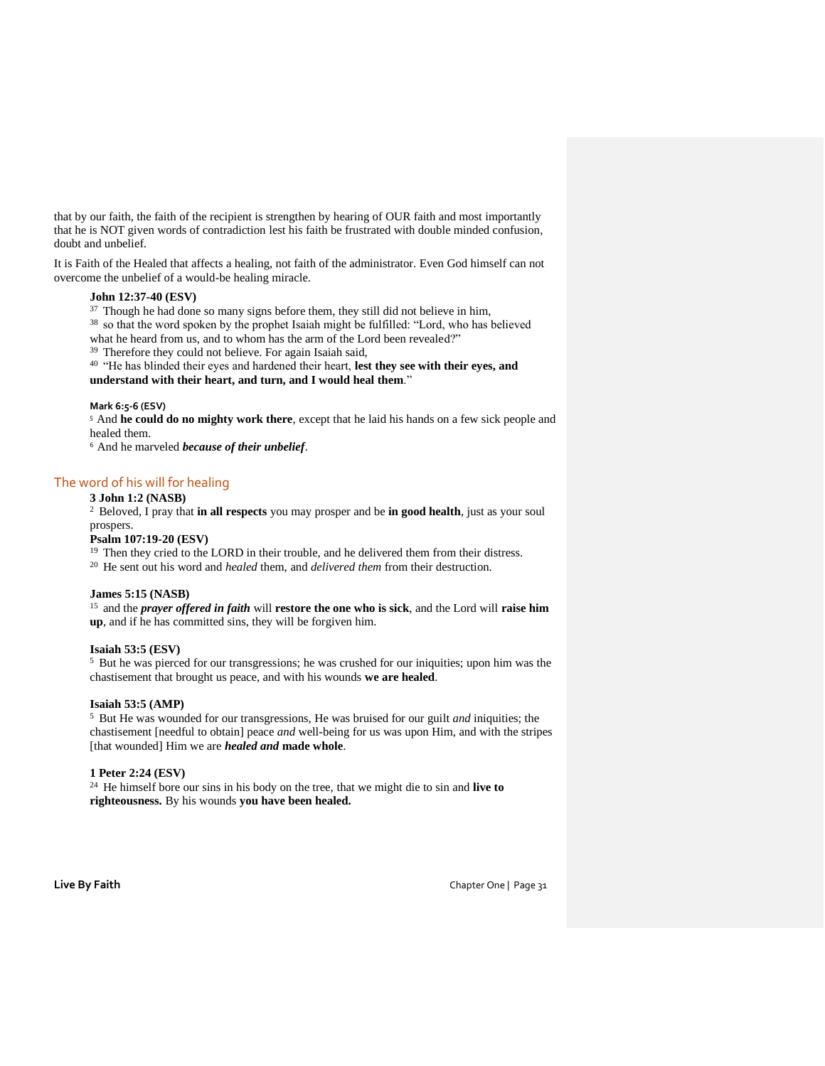that by our faith, the faith of the recipient is strengthen by hearing of OUR faith and most importantly that he is NOT given words of contradiction lest his faith be frustrated with double minded confusion, doubt and unbelief.

It is Faith of the Healed that affects a healing, not faith of the administrator. Even God himself can not overcome the unbelief of a would-be healing miracle.

# **John 12:37-40 (ESV)**

<sup>37</sup> Though he had done so many signs before them, they still did not believe in him,

<sup>38</sup> so that the word spoken by the prophet Isaiah might be fulfilled: "Lord, who has believed what he heard from us, and to whom has the arm of the Lord been revealed?"

<sup>39</sup>Therefore they could not believe. For again Isaiah said,

<sup>40</sup>"He has blinded their eyes and hardened their heart, **lest they see with their eyes, and understand with their heart, and turn, and I would heal them**."

# **Mark 6:5-6 (ESV)**

<sup>5</sup>And **he could do no mighty work there**, except that he laid his hands on a few sick people and healed them.

<sup>6</sup> And he marveled *because of their unbelief*.

# The word of his will for healing

# **3 John 1:2 (NASB)**

<sup>2</sup>Beloved, I pray that **in all respects** you may prosper and be **in good health**, just as your soul prospers.

## **Psalm 107:19-20 (ESV)**

<sup>19</sup> Then they cried to the LORD in their trouble, and he delivered them from their distress.

<sup>20</sup> He sent out his word and *healed* them, and *delivered them* from their destruction.

#### **James 5:15 (NASB)**

<sup>15</sup> and the *prayer offered in faith* will **restore the one who is sick**, and the Lord will **raise him up**, and if he has committed sins, they will be forgiven him.

### **Isaiah 53:5 (ESV)**

<sup>5</sup> But he was pierced for our transgressions; he was crushed for our iniquities; upon him was the chastisement that brought us peace, and with his wounds **we are healed**.

# **Isaiah 53:5 (AMP)**

<sup>5</sup> But He was wounded for our transgressions, He was bruised for our guilt *and* iniquities; the chastisement [needful to obtain] peace *and* well-being for us was upon Him, and with the stripes [that wounded] Him we are *healed and* **made whole**.

# **1 Peter 2:24 (ESV)**

<sup>24</sup> He himself bore our sins in his body on the tree, that we might die to sin and **live to righteousness.** By his wounds **you have been healed.**

**Live By Faith** Chapter One | Page 31 Chapter One | Page 31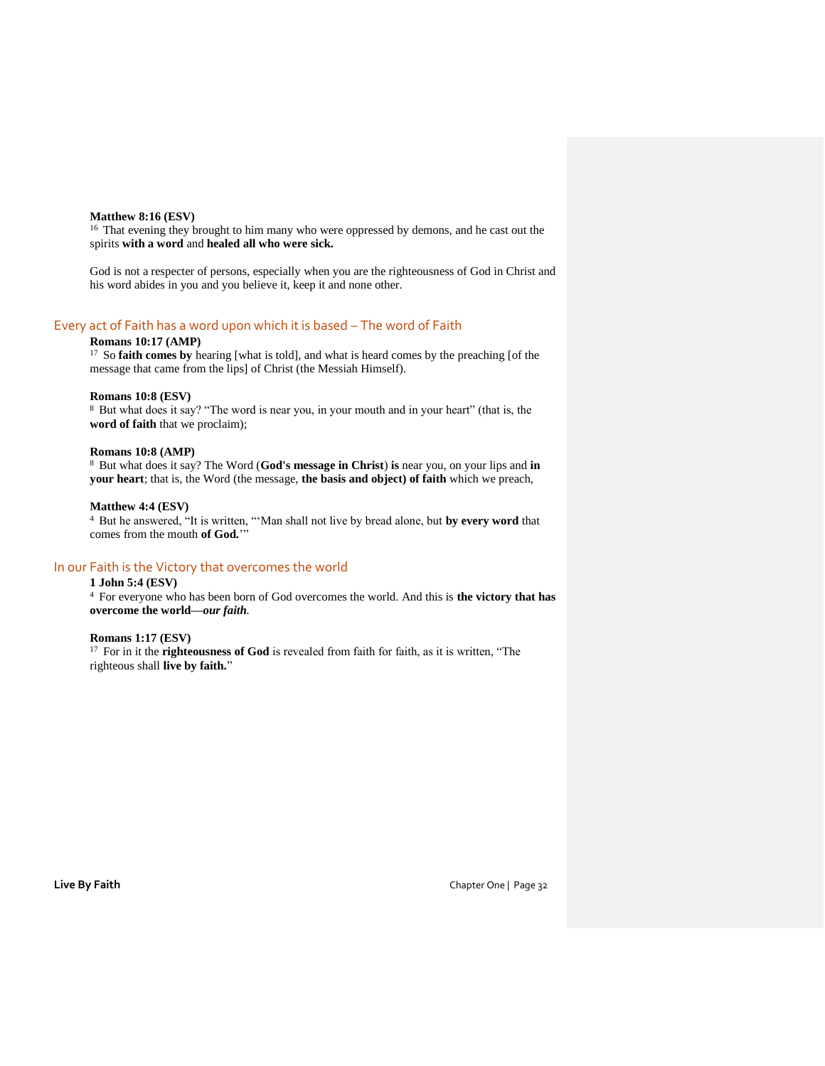#### **Matthew 8:16 (ESV)**

<sup>16</sup> That evening they brought to him many who were oppressed by demons, and he cast out the spirits **with a word** and **healed all who were sick.**

God is not a respecter of persons, especially when you are the righteousness of God in Christ and his word abides in you and you believe it, keep it and none other.

# Every act of Faith has a word upon which it is based – The word of Faith

# **Romans 10:17 (AMP)**

<sup>17</sup> So **faith comes by** hearing [what is told], and what is heard comes by the preaching [of the message that came from the lips] of Christ (the Messiah Himself).

#### **Romans 10:8 (ESV)**

<sup>8</sup> But what does it say? "The word is near you, in your mouth and in your heart" (that is, the **word of faith** that we proclaim);

### **Romans 10:8 (AMP)**

<sup>8</sup>But what does it say? The Word (**God's message in Christ**) **is** near you, on your lips and **in your heart**; that is, the Word (the message, **the basis and object) of faith** which we preach,

### **Matthew 4:4 (ESV)**

<sup>4</sup>But he answered, "It is written, "'Man shall not live by bread alone, but **by every word** that comes from the mouth **of God.**'"

## In our Faith is the Victory that overcomes the world

## **1 John 5:4 (ESV)**

<sup>4</sup>For everyone who has been born of God overcomes the world. And this is **the victory that has overcome the world—***our faith.*

## **Romans 1:17 (ESV)**

<sup>17</sup> For in it the **righteousness of God** is revealed from faith for faith, as it is written, "The righteous shall **live by faith.**"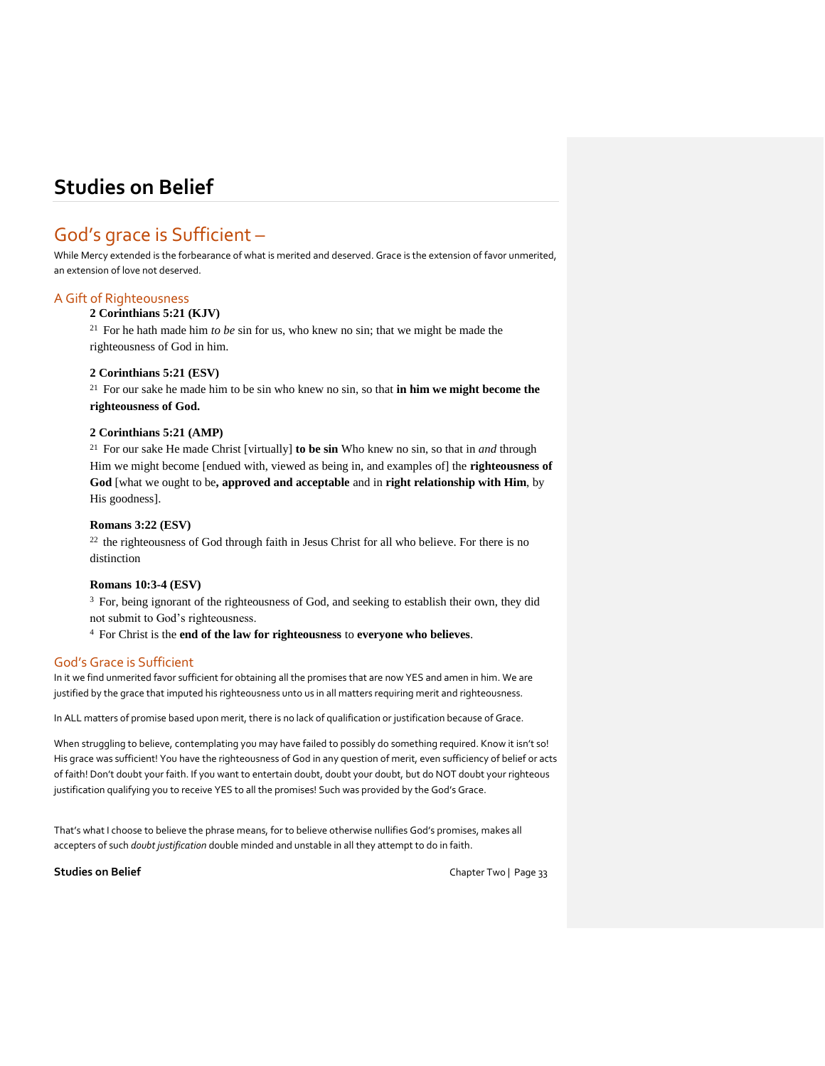# God's grace is Sufficient –

While Mercy extended is the forbearance of what is merited and deserved. Grace is the extension of favor unmerited, an extension of love not deserved.

# A Gift of Righteousness

# **2 Corinthians 5:21 (KJV)**

<sup>21</sup> For he hath made him *to be* sin for us, who knew no sin; that we might be made the righteousness of God in him.

# **2 Corinthians 5:21 (ESV)**

 $2<sup>1</sup>$  For our sake he made him to be sin who knew no sin, so that **in him we might become the righteousness of God.** 

# **2 Corinthians 5:21 (AMP)**

<sup>21</sup> For our sake He made Christ [virtually] **to be sin** Who knew no sin, so that in *and* through Him we might become [endued with, viewed as being in, and examples of] the **righteousness of God** [what we ought to be**, approved and acceptable** and in **right relationship with Him**, by His goodness].

## **Romans 3:22 (ESV)**

 $22$  the righteousness of God through faith in Jesus Christ for all who believe. For there is no distinction

# **Romans 10:3-4 (ESV)**

<sup>3</sup> For, being ignorant of the righteousness of God, and seeking to establish their own, they did not submit to God's righteousness.

<sup>4</sup> For Christ is the **end of the law for righteousness** to **everyone who believes**.

# God's Grace is Sufficient

In it we find unmerited favor sufficient for obtaining all the promises that are now YES and amen in him. We are justified by the grace that imputed his righteousness unto us in all matters requiring merit and righteousness.

In ALL matters of promise based upon merit, there is no lack of qualification or justification because of Grace.

When struggling to believe, contemplating you may have failed to possibly do something reguired. Know it isn't so! His grace was sufficient! You have the righteousness of God in any question of merit, even sufficiency of belief or acts of faith! Don't doubt your faith. If you want to entertain doubt, doubt your doubt, but do NOT doubt your righteous justification qualifying you to receive YES to all the promises! Such was provided by the God's Grace.

That's what I choose to believe the phrase means, for to believe otherwise nullifies God's promises, makes all accepters of such *doubt justification* double minded and unstable in all they attempt to do in faith.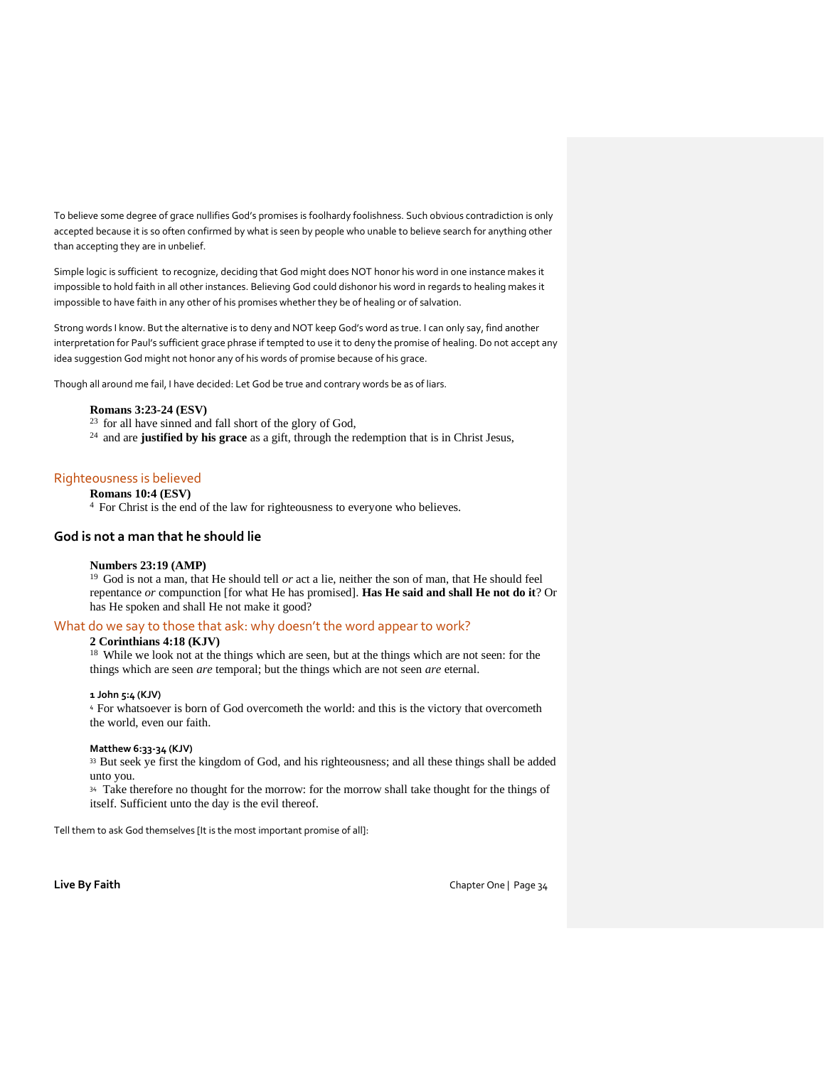To believe some degree of grace nullifies God's promises is foolhardy foolishness. Such obvious contradiction is only accepted because it is so often confirmed by what is seen by people who unable to believe search for anything other than accepting they are in unbelief.

Simple logic is sufficient to recognize, deciding that God might does NOT honor his word in one instance makes it impossible to hold faith in all other instances. Believing God could dishonor his word in regards to healing makes it impossible to have faith in any other of his promises whether they be of healing or of salvation.

Strong words I know. But the alternative is to deny and NOT keep God's word as true. I can only say, find another interpretation for Paul's sufficient grace phrase if tempted to use it to deny the promise of healing. Do not accept any idea suggestion God might not honor any of his words of promise because of his grace.

Though all around me fail, I have decided: Let God be true and contrary words be as of liars.

## **Romans 3:23-24 (ESV)**

- $23$  for all have sinned and fall short of the glory of God,
- <sup>24</sup> and are **justified by his grace** as a gift, through the redemption that is in Christ Jesus,

# Righteousness is believed

## **Romans 10:4 (ESV)**

<sup>4</sup> For Christ is the end of the law for righteousness to everyone who believes.

## **God is not a man that he should lie**

#### **Numbers 23:19 (AMP)**

<sup>19</sup> God is not a man, that He should tell *or* act a lie, neither the son of man, that He should feel repentance *or* compunction [for what He has promised]. **Has He said and shall He not do it**? Or has He spoken and shall He not make it good?

## What do we say to those that ask: why doesn't the word appear to work?

### **2 Corinthians 4:18 (KJV)**

<sup>18</sup> While we look not at the things which are seen, but at the things which are not seen: for the things which are seen *are* temporal; but the things which are not seen *are* eternal.

## **1 John 5:4 (KJV)**

<sup>4</sup>For whatsoever is born of God overcometh the world: and this is the victory that overcometh the world, even our faith.

#### **Matthew 6:33-34 (KJV)**

33 But seek ye first the kingdom of God, and his righteousness; and all these things shall be added unto you.

<sup>34</sup> Take therefore no thought for the morrow: for the morrow shall take thought for the things of itself. Sufficient unto the day is the evil thereof.

Tell them to ask God themselves [It is the most important promise of all]: